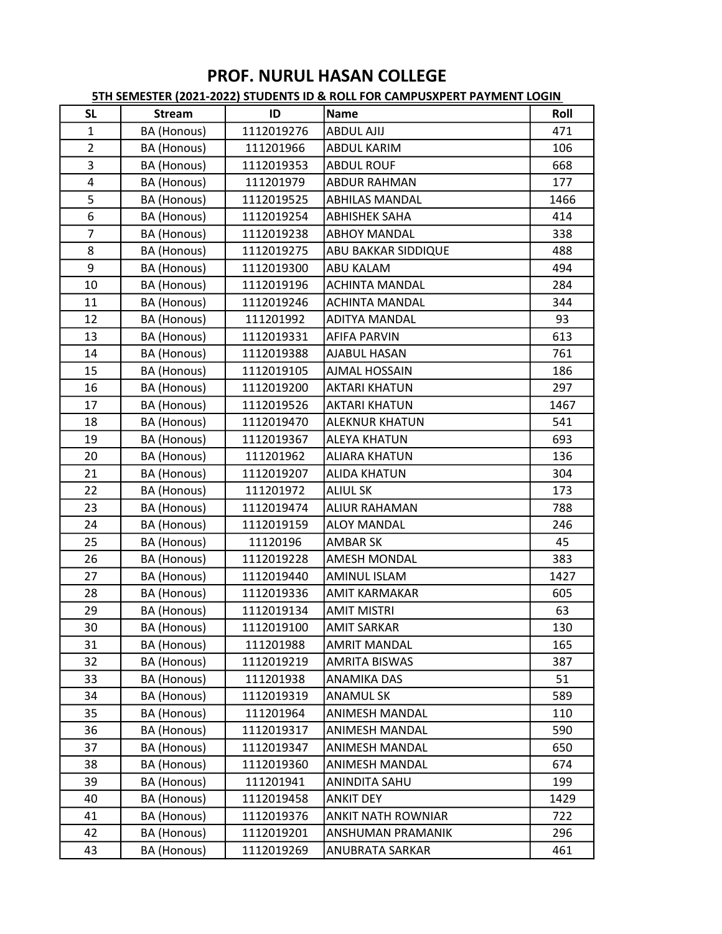| <b>SL</b>      | <b>Stream</b> | ID         | <b>Name</b>               | Roll |
|----------------|---------------|------------|---------------------------|------|
| $\mathbf{1}$   | BA (Honous)   | 1112019276 | <b>ABDUL AJIJ</b>         | 471  |
| $\overline{2}$ | BA (Honous)   | 111201966  | <b>ABDUL KARIM</b>        | 106  |
| 3              | BA (Honous)   | 1112019353 | <b>ABDUL ROUF</b>         | 668  |
| 4              | BA (Honous)   | 111201979  | <b>ABDUR RAHMAN</b>       | 177  |
| 5              | BA (Honous)   | 1112019525 | <b>ABHILAS MANDAL</b>     | 1466 |
| 6              | BA (Honous)   | 1112019254 | <b>ABHISHEK SAHA</b>      | 414  |
| $\overline{7}$ | BA (Honous)   | 1112019238 | <b>ABHOY MANDAL</b>       | 338  |
| 8              | BA (Honous)   | 1112019275 | ABU BAKKAR SIDDIQUE       | 488  |
| 9              | BA (Honous)   | 1112019300 | <b>ABU KALAM</b>          | 494  |
| 10             | BA (Honous)   | 1112019196 | <b>ACHINTA MANDAL</b>     | 284  |
| 11             | BA (Honous)   | 1112019246 | <b>ACHINTA MANDAL</b>     | 344  |
| 12             | BA (Honous)   | 111201992  | <b>ADITYA MANDAL</b>      | 93   |
| 13             | BA (Honous)   | 1112019331 | <b>AFIFA PARVIN</b>       | 613  |
| 14             | BA (Honous)   | 1112019388 | AJABUL HASAN              | 761  |
| 15             | BA (Honous)   | 1112019105 | <b>AJMAL HOSSAIN</b>      | 186  |
| 16             | BA (Honous)   | 1112019200 | <b>AKTARI KHATUN</b>      | 297  |
| 17             | BA (Honous)   | 1112019526 | <b>AKTARI KHATUN</b>      | 1467 |
| 18             | BA (Honous)   | 1112019470 | <b>ALEKNUR KHATUN</b>     | 541  |
| 19             | BA (Honous)   | 1112019367 | <b>ALEYA KHATUN</b>       | 693  |
| 20             | BA (Honous)   | 111201962  | <b>ALIARA KHATUN</b>      | 136  |
| 21             | BA (Honous)   | 1112019207 | <b>ALIDA KHATUN</b>       | 304  |
| 22             | BA (Honous)   | 111201972  | <b>ALIUL SK</b>           | 173  |
| 23             | BA (Honous)   | 1112019474 | <b>ALIUR RAHAMAN</b>      | 788  |
| 24             | BA (Honous)   | 1112019159 | <b>ALOY MANDAL</b>        | 246  |
| 25             | BA (Honous)   | 11120196   | <b>AMBAR SK</b>           | 45   |
| 26             | BA (Honous)   | 1112019228 | <b>AMESH MONDAL</b>       | 383  |
| 27             | BA (Honous)   | 1112019440 | <b>AMINUL ISLAM</b>       | 1427 |
| 28             | BA (Honous)   | 1112019336 | <b>AMIT KARMAKAR</b>      | 605  |
| 29             | BA (Honous)   | 1112019134 | <b>AMIT MISTRI</b>        | 63   |
| 30             | BA (Honous)   | 1112019100 | <b>AMIT SARKAR</b>        | 130  |
| 31             | BA (Honous)   | 111201988  | <b>AMRIT MANDAL</b>       | 165  |
| 32             | BA (Honous)   | 1112019219 | <b>AMRITA BISWAS</b>      | 387  |
| 33             | BA (Honous)   | 111201938  | ANAMIKA DAS               | 51   |
| 34             | BA (Honous)   | 1112019319 | <b>ANAMUL SK</b>          | 589  |
| 35             | BA (Honous)   | 111201964  | ANIMESH MANDAL            | 110  |
| 36             | BA (Honous)   | 1112019317 | <b>ANIMESH MANDAL</b>     | 590  |
| 37             | BA (Honous)   | 1112019347 | <b>ANIMESH MANDAL</b>     | 650  |
| 38             | BA (Honous)   | 1112019360 | <b>ANIMESH MANDAL</b>     | 674  |
| 39             | BA (Honous)   | 111201941  | ANINDITA SAHU             | 199  |
| 40             | BA (Honous)   | 1112019458 | <b>ANKIT DEY</b>          | 1429 |
| 41             | BA (Honous)   | 1112019376 | <b>ANKIT NATH ROWNIAR</b> | 722  |
| 42             | BA (Honous)   | 1112019201 | ANSHUMAN PRAMANIK         | 296  |
| 43             | BA (Honous)   | 1112019269 | <b>ANUBRATA SARKAR</b>    | 461  |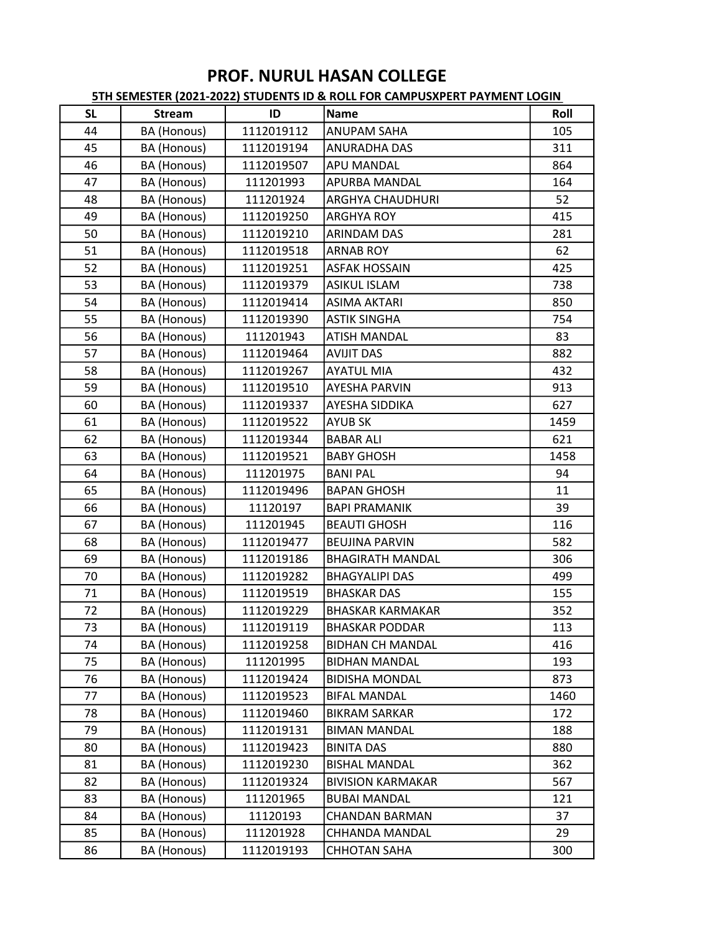| <b>SL</b> | <b>Stream</b> | ID         | Name                     | Roll |
|-----------|---------------|------------|--------------------------|------|
| 44        | BA (Honous)   | 1112019112 | <b>ANUPAM SAHA</b>       | 105  |
| 45        | BA (Honous)   | 1112019194 | <b>ANURADHA DAS</b>      | 311  |
| 46        | BA (Honous)   | 1112019507 | APU MANDAL               | 864  |
| 47        | BA (Honous)   | 111201993  | <b>APURBA MANDAL</b>     | 164  |
| 48        | BA (Honous)   | 111201924  | <b>ARGHYA CHAUDHURI</b>  | 52   |
| 49        | BA (Honous)   | 1112019250 | <b>ARGHYA ROY</b>        | 415  |
| 50        | BA (Honous)   | 1112019210 | <b>ARINDAM DAS</b>       | 281  |
| 51        | BA (Honous)   | 1112019518 | <b>ARNAB ROY</b>         | 62   |
| 52        | BA (Honous)   | 1112019251 | <b>ASFAK HOSSAIN</b>     | 425  |
| 53        | BA (Honous)   | 1112019379 | <b>ASIKUL ISLAM</b>      | 738  |
| 54        | BA (Honous)   | 1112019414 | <b>ASIMA AKTARI</b>      | 850  |
| 55        | BA (Honous)   | 1112019390 | <b>ASTIK SINGHA</b>      | 754  |
| 56        | BA (Honous)   | 111201943  | <b>ATISH MANDAL</b>      | 83   |
| 57        | BA (Honous)   | 1112019464 | <b>AVIJIT DAS</b>        | 882  |
| 58        | BA (Honous)   | 1112019267 | <b>AYATUL MIA</b>        | 432  |
| 59        | BA (Honous)   | 1112019510 | <b>AYESHA PARVIN</b>     | 913  |
| 60        | BA (Honous)   | 1112019337 | <b>AYESHA SIDDIKA</b>    | 627  |
| 61        | BA (Honous)   | 1112019522 | <b>AYUB SK</b>           | 1459 |
| 62        | BA (Honous)   | 1112019344 | <b>BABAR ALI</b>         | 621  |
| 63        | BA (Honous)   | 1112019521 | <b>BABY GHOSH</b>        | 1458 |
| 64        | BA (Honous)   | 111201975  | <b>BANI PAL</b>          | 94   |
| 65        | BA (Honous)   | 1112019496 | <b>BAPAN GHOSH</b>       | 11   |
| 66        | BA (Honous)   | 11120197   | <b>BAPI PRAMANIK</b>     | 39   |
| 67        | BA (Honous)   | 111201945  | <b>BEAUTI GHOSH</b>      | 116  |
| 68        | BA (Honous)   | 1112019477 | <b>BEUJINA PARVIN</b>    | 582  |
| 69        | BA (Honous)   | 1112019186 | <b>BHAGIRATH MANDAL</b>  | 306  |
| 70        | BA (Honous)   | 1112019282 | <b>BHAGYALIPI DAS</b>    | 499  |
| 71        | BA (Honous)   | 1112019519 | <b>BHASKAR DAS</b>       | 155  |
| 72        | BA (Honous)   | 1112019229 | <b>BHASKAR KARMAKAR</b>  | 352  |
| 73        | BA (Honous)   | 1112019119 | <b>BHASKAR PODDAR</b>    | 113  |
| 74        | BA (Honous)   | 1112019258 | <b>BIDHAN CH MANDAL</b>  | 416  |
| 75        | BA (Honous)   | 111201995  | <b>BIDHAN MANDAL</b>     | 193  |
| 76        | BA (Honous)   | 1112019424 | <b>BIDISHA MONDAL</b>    | 873  |
| 77        | BA (Honous)   | 1112019523 | <b>BIFAL MANDAL</b>      | 1460 |
| 78        | BA (Honous)   | 1112019460 | <b>BIKRAM SARKAR</b>     | 172  |
| 79        | BA (Honous)   | 1112019131 | <b>BIMAN MANDAL</b>      | 188  |
| 80        | BA (Honous)   | 1112019423 | <b>BINITA DAS</b>        | 880  |
| 81        | BA (Honous)   | 1112019230 | <b>BISHAL MANDAL</b>     | 362  |
| 82        | BA (Honous)   | 1112019324 | <b>BIVISION KARMAKAR</b> | 567  |
| 83        | BA (Honous)   | 111201965  | <b>BUBAI MANDAL</b>      | 121  |
| 84        | BA (Honous)   | 11120193   | <b>CHANDAN BARMAN</b>    | 37   |
| 85        | BA (Honous)   | 111201928  | CHHANDA MANDAL           | 29   |
| 86        | BA (Honous)   | 1112019193 | <b>CHHOTAN SAHA</b>      | 300  |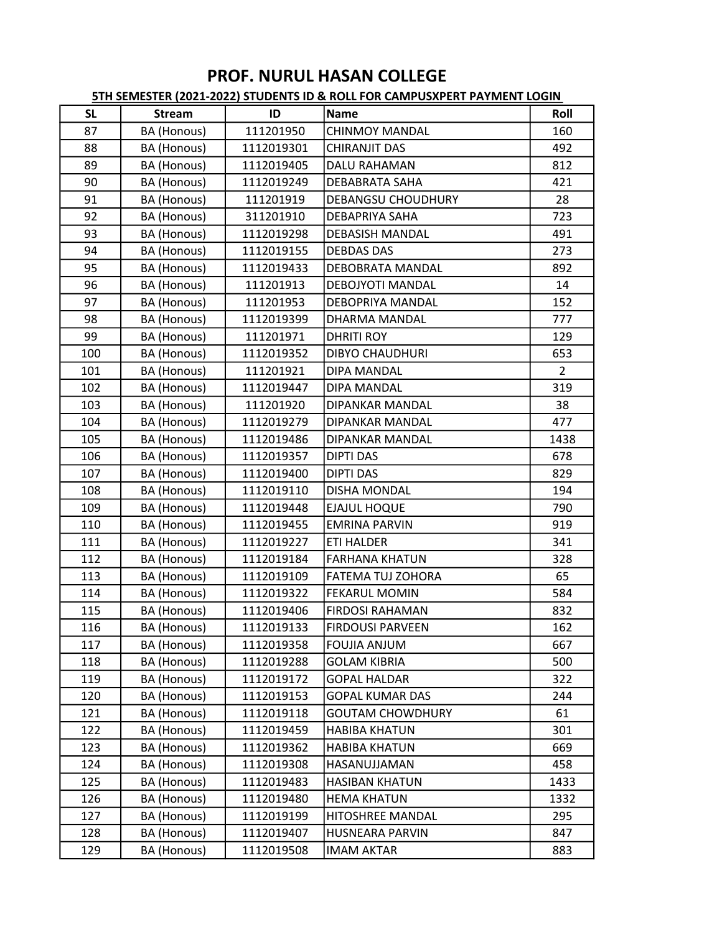| <b>SL</b> | <b>Stream</b> | ID         | Name                      | Roll           |
|-----------|---------------|------------|---------------------------|----------------|
| 87        | BA (Honous)   | 111201950  | <b>CHINMOY MANDAL</b>     | 160            |
| 88        | BA (Honous)   | 1112019301 | <b>CHIRANJIT DAS</b>      | 492            |
| 89        | BA (Honous)   | 1112019405 | DALU RAHAMAN              | 812            |
| 90        | BA (Honous)   | 1112019249 | DEBABRATA SAHA            | 421            |
| 91        | BA (Honous)   | 111201919  | <b>DEBANGSU CHOUDHURY</b> | 28             |
| 92        | BA (Honous)   | 311201910  | DEBAPRIYA SAHA            | 723            |
| 93        | BA (Honous)   | 1112019298 | <b>DEBASISH MANDAL</b>    | 491            |
| 94        | BA (Honous)   | 1112019155 | <b>DEBDAS DAS</b>         | 273            |
| 95        | BA (Honous)   | 1112019433 | <b>DEBOBRATA MANDAL</b>   | 892            |
| 96        | BA (Honous)   | 111201913  | DEBOJYOTI MANDAL          | 14             |
| 97        | BA (Honous)   | 111201953  | DEBOPRIYA MANDAL          | 152            |
| 98        | BA (Honous)   | 1112019399 | DHARMA MANDAL             | 777            |
| 99        | BA (Honous)   | 111201971  | <b>DHRITI ROY</b>         | 129            |
| 100       | BA (Honous)   | 1112019352 | <b>DIBYO CHAUDHURI</b>    | 653            |
| 101       | BA (Honous)   | 111201921  | DIPA MANDAL               | $\overline{2}$ |
| 102       | BA (Honous)   | 1112019447 | <b>DIPA MANDAL</b>        | 319            |
| 103       | BA (Honous)   | 111201920  | DIPANKAR MANDAL           | 38             |
| 104       | BA (Honous)   | 1112019279 | DIPANKAR MANDAL           | 477            |
| 105       | BA (Honous)   | 1112019486 | <b>DIPANKAR MANDAL</b>    | 1438           |
| 106       | BA (Honous)   | 1112019357 | <b>DIPTI DAS</b>          | 678            |
| 107       | BA (Honous)   | 1112019400 | <b>DIPTI DAS</b>          | 829            |
| 108       | BA (Honous)   | 1112019110 | <b>DISHA MONDAL</b>       | 194            |
| 109       | BA (Honous)   | 1112019448 | EJAJUL HOQUE              | 790            |
| 110       | BA (Honous)   | 1112019455 | <b>EMRINA PARVIN</b>      | 919            |
| 111       | BA (Honous)   | 1112019227 | <b>ETI HALDER</b>         | 341            |
| 112       | BA (Honous)   | 1112019184 | <b>FARHANA KHATUN</b>     | 328            |
| 113       | BA (Honous)   | 1112019109 | <b>FATEMA TUJ ZOHORA</b>  | 65             |
| 114       | BA (Honous)   | 1112019322 | <b>FEKARUL MOMIN</b>      | 584            |
| 115       | BA (Honous)   | 1112019406 | <b>FIRDOSI RAHAMAN</b>    | 832            |
| 116       | BA (Honous)   | 1112019133 | <b>FIRDOUSI PARVEEN</b>   | 162            |
| 117       | BA (Honous)   | 1112019358 | <b>FOUJIA ANJUM</b>       | 667            |
| 118       | BA (Honous)   | 1112019288 | <b>GOLAM KIBRIA</b>       | 500            |
| 119       | BA (Honous)   | 1112019172 | <b>GOPAL HALDAR</b>       | 322            |
| 120       | BA (Honous)   | 1112019153 | <b>GOPAL KUMAR DAS</b>    | 244            |
| 121       | BA (Honous)   | 1112019118 | <b>GOUTAM CHOWDHURY</b>   | 61             |
| 122       | BA (Honous)   | 1112019459 | <b>HABIBA KHATUN</b>      | 301            |
| 123       | BA (Honous)   | 1112019362 | <b>HABIBA KHATUN</b>      | 669            |
| 124       | BA (Honous)   | 1112019308 | HASANUJJAMAN              | 458            |
| 125       | BA (Honous)   | 1112019483 | <b>HASIBAN KHATUN</b>     | 1433           |
| 126       | BA (Honous)   | 1112019480 | <b>HEMA KHATUN</b>        | 1332           |
| 127       | BA (Honous)   | 1112019199 | <b>HITOSHREE MANDAL</b>   | 295            |
| 128       | BA (Honous)   | 1112019407 | HUSNEARA PARVIN           | 847            |
| 129       | BA (Honous)   | 1112019508 | <b>IMAM AKTAR</b>         | 883            |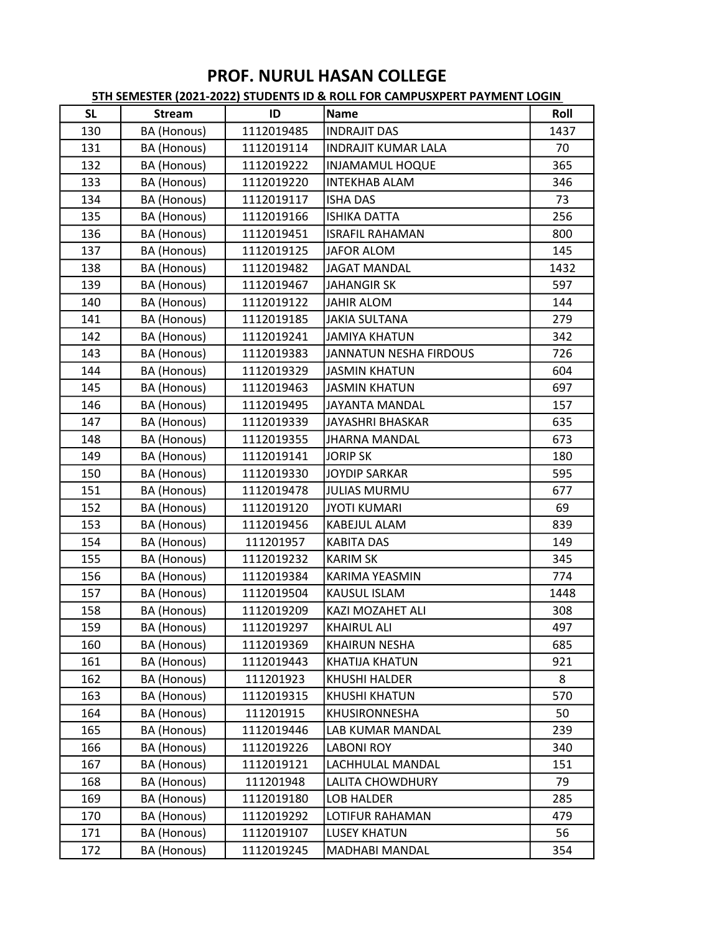| <b>SL</b> | <b>Stream</b>      | ID         | Name                       | Roll |
|-----------|--------------------|------------|----------------------------|------|
| 130       | BA (Honous)        | 1112019485 | <b>INDRAJIT DAS</b>        | 1437 |
| 131       | BA (Honous)        | 1112019114 | <b>INDRAJIT KUMAR LALA</b> | 70   |
| 132       | BA (Honous)        | 1112019222 | INJAMAMUL HOQUE            | 365  |
| 133       | BA (Honous)        | 1112019220 | <b>INTEKHAB ALAM</b>       | 346  |
| 134       | BA (Honous)        | 1112019117 | <b>ISHA DAS</b>            | 73   |
| 135       | BA (Honous)        | 1112019166 | <b>ISHIKA DATTA</b>        | 256  |
| 136       | BA (Honous)        | 1112019451 | <b>ISRAFIL RAHAMAN</b>     | 800  |
| 137       | BA (Honous)        | 1112019125 | JAFOR ALOM                 | 145  |
| 138       | BA (Honous)        | 1112019482 | <b>JAGAT MANDAL</b>        | 1432 |
| 139       | BA (Honous)        | 1112019467 | JAHANGIR SK                | 597  |
| 140       | BA (Honous)        | 1112019122 | <b>JAHIR ALOM</b>          | 144  |
| 141       | BA (Honous)        | 1112019185 | <b>JAKIA SULTANA</b>       | 279  |
| 142       | BA (Honous)        | 1112019241 | <b>JAMIYA KHATUN</b>       | 342  |
| 143       | BA (Honous)        | 1112019383 | JANNATUN NESHA FIRDOUS     | 726  |
| 144       | BA (Honous)        | 1112019329 | JASMIN KHATUN              | 604  |
| 145       | BA (Honous)        | 1112019463 | <b>JASMIN KHATUN</b>       | 697  |
| 146       | BA (Honous)        | 1112019495 | JAYANTA MANDAL             | 157  |
| 147       | BA (Honous)        | 1112019339 | JAYASHRI BHASKAR           | 635  |
| 148       | BA (Honous)        | 1112019355 | JHARNA MANDAL              | 673  |
| 149       | BA (Honous)        | 1112019141 | <b>JORIP SK</b>            | 180  |
| 150       | BA (Honous)        | 1112019330 | <b>JOYDIP SARKAR</b>       | 595  |
| 151       | BA (Honous)        | 1112019478 | <b>JULIAS MURMU</b>        | 677  |
| 152       | BA (Honous)        | 1112019120 | <b>JYOTI KUMARI</b>        | 69   |
| 153       | BA (Honous)        | 1112019456 | <b>KABEJUL ALAM</b>        | 839  |
| 154       | BA (Honous)        | 111201957  | <b>KABITA DAS</b>          | 149  |
| 155       | BA (Honous)        | 1112019232 | <b>KARIM SK</b>            | 345  |
| 156       | BA (Honous)        | 1112019384 | <b>KARIMA YEASMIN</b>      | 774  |
| 157       | BA (Honous)        | 1112019504 | <b>KAUSUL ISLAM</b>        | 1448 |
| 158       | BA (Honous)        | 1112019209 | <b>KAZI MOZAHET ALI</b>    | 308  |
| 159       | BA (Honous)        | 1112019297 | <b>KHAIRUL ALI</b>         | 497  |
| 160       | BA (Honous)        | 1112019369 | <b>KHAIRUN NESHA</b>       | 685  |
| 161       | BA (Honous)        | 1112019443 | KHATIJA KHATUN             | 921  |
| 162       | BA (Honous)        | 111201923  | KHUSHI HALDER              | 8    |
| 163       | BA (Honous)        | 1112019315 | <b>KHUSHI KHATUN</b>       | 570  |
| 164       | BA (Honous)        | 111201915  | KHUSIRONNESHA              | 50   |
| 165       | BA (Honous)        | 1112019446 | LAB KUMAR MANDAL           | 239  |
| 166       | BA (Honous)        | 1112019226 | <b>LABONI ROY</b>          | 340  |
| 167       | <b>BA</b> (Honous) | 1112019121 | LACHHULAL MANDAL           | 151  |
| 168       | BA (Honous)        | 111201948  | <b>LALITA CHOWDHURY</b>    | 79   |
| 169       | BA (Honous)        | 1112019180 | LOB HALDER                 | 285  |
| 170       | BA (Honous)        | 1112019292 | <b>LOTIFUR RAHAMAN</b>     | 479  |
| 171       | BA (Honous)        | 1112019107 | <b>LUSEY KHATUN</b>        | 56   |
| 172       | BA (Honous)        | 1112019245 | MADHABI MANDAL             | 354  |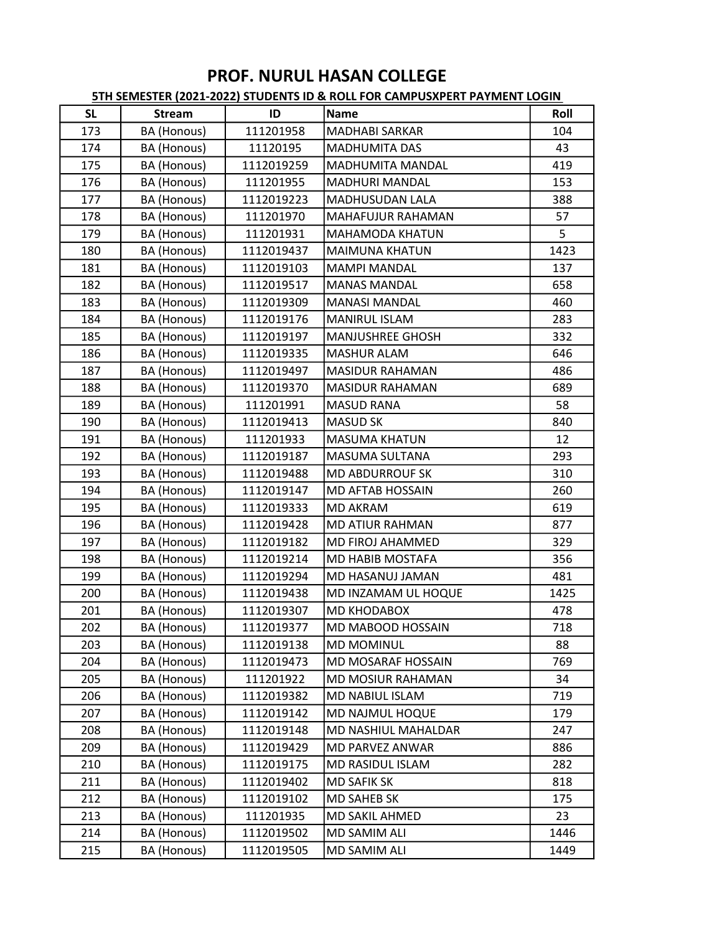| <b>SL</b> | <b>Stream</b> | ID         | Name                       | Roll |
|-----------|---------------|------------|----------------------------|------|
| 173       | BA (Honous)   | 111201958  | <b>MADHABI SARKAR</b>      | 104  |
| 174       | BA (Honous)   | 11120195   | <b>MADHUMITA DAS</b>       | 43   |
| 175       | BA (Honous)   | 1112019259 | MADHUMITA MANDAL           | 419  |
| 176       | BA (Honous)   | 111201955  | <b>MADHURI MANDAL</b>      | 153  |
| 177       | BA (Honous)   | 1112019223 | MADHUSUDAN LALA            | 388  |
| 178       | BA (Honous)   | 111201970  | MAHAFUJUR RAHAMAN          | 57   |
| 179       | BA (Honous)   | 111201931  | <b>MAHAMODA KHATUN</b>     | 5    |
| 180       | BA (Honous)   | 1112019437 | <b>MAIMUNA KHATUN</b>      | 1423 |
| 181       | BA (Honous)   | 1112019103 | <b>MAMPI MANDAL</b>        | 137  |
| 182       | BA (Honous)   | 1112019517 | <b>MANAS MANDAL</b>        | 658  |
| 183       | BA (Honous)   | 1112019309 | <b>MANASI MANDAL</b>       | 460  |
| 184       | BA (Honous)   | 1112019176 | MANIRUL ISLAM              | 283  |
| 185       | BA (Honous)   | 1112019197 | <b>MANJUSHREE GHOSH</b>    | 332  |
| 186       | BA (Honous)   | 1112019335 | <b>MASHUR ALAM</b>         | 646  |
| 187       | BA (Honous)   | 1112019497 | <b>MASIDUR RAHAMAN</b>     | 486  |
| 188       | BA (Honous)   | 1112019370 | <b>MASIDUR RAHAMAN</b>     | 689  |
| 189       | BA (Honous)   | 111201991  | MASUD RANA                 | 58   |
| 190       | BA (Honous)   | 1112019413 | <b>MASUD SK</b>            | 840  |
| 191       | BA (Honous)   | 111201933  | <b>MASUMA KHATUN</b>       | 12   |
| 192       | BA (Honous)   | 1112019187 | <b>MASUMA SULTANA</b>      | 293  |
| 193       | BA (Honous)   | 1112019488 | <b>MD ABDURROUF SK</b>     | 310  |
| 194       | BA (Honous)   | 1112019147 | <b>MD AFTAB HOSSAIN</b>    | 260  |
| 195       | BA (Honous)   | 1112019333 | <b>MD AKRAM</b>            | 619  |
| 196       | BA (Honous)   | 1112019428 | <b>MD ATIUR RAHMAN</b>     | 877  |
| 197       | BA (Honous)   | 1112019182 | MD FIROJ AHAMMED           | 329  |
| 198       | BA (Honous)   | 1112019214 | <b>MD HABIB MOSTAFA</b>    | 356  |
| 199       | BA (Honous)   | 1112019294 | MD HASANUJ JAMAN           | 481  |
| 200       | BA (Honous)   | 1112019438 | MD INZAMAM UL HOQUE        | 1425 |
| 201       | BA (Honous)   | 1112019307 | <b>MD KHODABOX</b>         | 478  |
| 202       | BA (Honous)   | 1112019377 | MD MABOOD HOSSAIN          | 718  |
| 203       | BA (Honous)   | 1112019138 | <b>MD MOMINUL</b>          | 88   |
| 204       | BA (Honous)   | 1112019473 | MD MOSARAF HOSSAIN         | 769  |
| 205       | BA (Honous)   | 111201922  | MD MOSIUR RAHAMAN          | 34   |
| 206       | BA (Honous)   | 1112019382 | <b>MD NABIUL ISLAM</b>     | 719  |
| 207       | BA (Honous)   | 1112019142 | MD NAJMUL HOQUE            | 179  |
| 208       | BA (Honous)   | 1112019148 | <b>MD NASHIUL MAHALDAR</b> | 247  |
| 209       | BA (Honous)   | 1112019429 | MD PARVEZ ANWAR            | 886  |
| 210       | BA (Honous)   | 1112019175 | <b>MD RASIDUL ISLAM</b>    | 282  |
| 211       | BA (Honous)   | 1112019402 | <b>MD SAFIK SK</b>         | 818  |
| 212       | BA (Honous)   | 1112019102 | MD SAHEB SK                | 175  |
| 213       | BA (Honous)   | 111201935  | <b>MD SAKIL AHMED</b>      | 23   |
| 214       | BA (Honous)   | 1112019502 | <b>MD SAMIM ALI</b>        | 1446 |
| 215       | BA (Honous)   | 1112019505 | MD SAMIM ALI               | 1449 |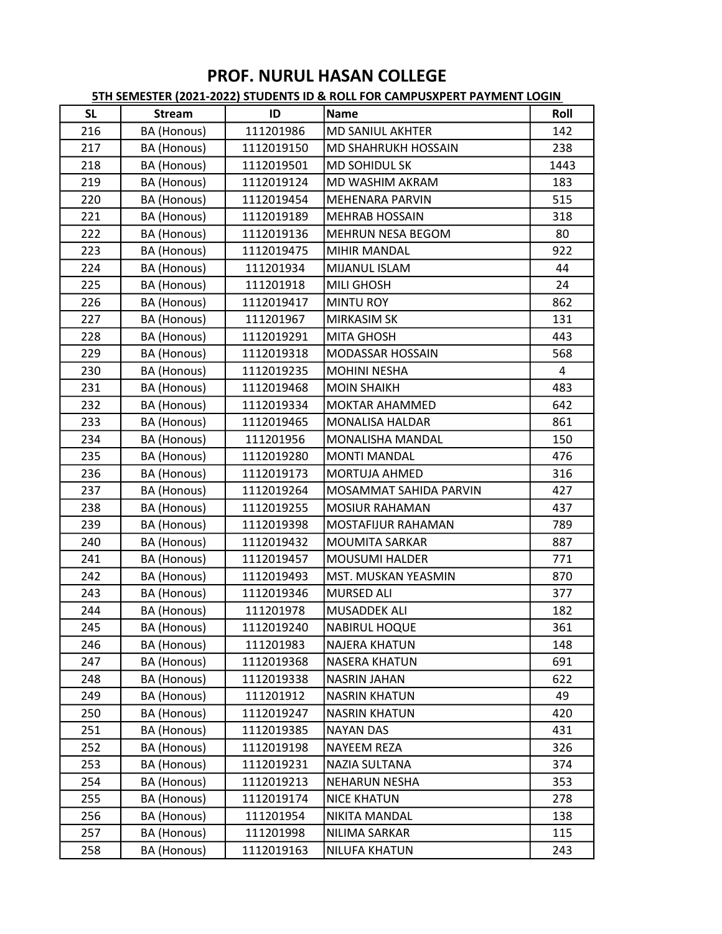| <b>SL</b> | <b>Stream</b> | ID         | Name                       | Roll           |
|-----------|---------------|------------|----------------------------|----------------|
| 216       | BA (Honous)   | 111201986  | <b>MD SANIUL AKHTER</b>    | 142            |
| 217       | BA (Honous)   | 1112019150 | <b>MD SHAHRUKH HOSSAIN</b> | 238            |
| 218       | BA (Honous)   | 1112019501 | <b>MD SOHIDUL SK</b>       | 1443           |
| 219       | BA (Honous)   | 1112019124 | <b>MD WASHIM AKRAM</b>     | 183            |
| 220       | BA (Honous)   | 1112019454 | MEHENARA PARVIN            | 515            |
| 221       | BA (Honous)   | 1112019189 | <b>MEHRAB HOSSAIN</b>      | 318            |
| 222       | BA (Honous)   | 1112019136 | <b>MEHRUN NESA BEGOM</b>   | 80             |
| 223       | BA (Honous)   | 1112019475 | <b>MIHIR MANDAL</b>        | 922            |
| 224       | BA (Honous)   | 111201934  | <b>MIJANUL ISLAM</b>       | 44             |
| 225       | BA (Honous)   | 111201918  | MILI GHOSH                 | 24             |
| 226       | BA (Honous)   | 1112019417 | <b>MINTU ROY</b>           | 862            |
| 227       | BA (Honous)   | 111201967  | <b>MIRKASIM SK</b>         | 131            |
| 228       | BA (Honous)   | 1112019291 | <b>MITA GHOSH</b>          | 443            |
| 229       | BA (Honous)   | 1112019318 | MODASSAR HOSSAIN           | 568            |
| 230       | BA (Honous)   | 1112019235 | <b>MOHINI NESHA</b>        | $\overline{4}$ |
| 231       | BA (Honous)   | 1112019468 | <b>MOIN SHAIKH</b>         | 483            |
| 232       | BA (Honous)   | 1112019334 | <b>MOKTAR AHAMMED</b>      | 642            |
| 233       | BA (Honous)   | 1112019465 | <b>MONALISA HALDAR</b>     | 861            |
| 234       | BA (Honous)   | 111201956  | MONALISHA MANDAL           | 150            |
| 235       | BA (Honous)   | 1112019280 | <b>MONTI MANDAL</b>        | 476            |
| 236       | BA (Honous)   | 1112019173 | <b>MORTUJA AHMED</b>       | 316            |
| 237       | BA (Honous)   | 1112019264 | MOSAMMAT SAHIDA PARVIN     | 427            |
| 238       | BA (Honous)   | 1112019255 | <b>MOSIUR RAHAMAN</b>      | 437            |
| 239       | BA (Honous)   | 1112019398 | <b>MOSTAFIJUR RAHAMAN</b>  | 789            |
| 240       | BA (Honous)   | 1112019432 | <b>MOUMITA SARKAR</b>      | 887            |
| 241       | BA (Honous)   | 1112019457 | <b>MOUSUMI HALDER</b>      | 771            |
| 242       | BA (Honous)   | 1112019493 | MST. MUSKAN YEASMIN        | 870            |
| 243       | BA (Honous)   | 1112019346 | <b>MURSED ALI</b>          | 377            |
| 244       | BA (Honous)   | 111201978  | MUSADDEK ALI               | 182            |
| 245       | BA (Honous)   | 1112019240 | <b>NABIRUL HOQUE</b>       | 361            |
| 246       | BA (Honous)   | 111201983  | <b>NAJERA KHATUN</b>       | 148            |
| 247       | BA (Honous)   | 1112019368 | <b>NASERA KHATUN</b>       | 691            |
| 248       | BA (Honous)   | 1112019338 | <b>NASRIN JAHAN</b>        | 622            |
| 249       | BA (Honous)   | 111201912  | <b>NASRIN KHATUN</b>       | 49             |
| 250       | BA (Honous)   | 1112019247 | <b>NASRIN KHATUN</b>       | 420            |
| 251       | BA (Honous)   | 1112019385 | <b>NAYAN DAS</b>           | 431            |
| 252       | BA (Honous)   | 1112019198 | NAYEEM REZA                | 326            |
| 253       | BA (Honous)   | 1112019231 | <b>NAZIA SULTANA</b>       | 374            |
| 254       | BA (Honous)   | 1112019213 | <b>NEHARUN NESHA</b>       | 353            |
| 255       | BA (Honous)   | 1112019174 | <b>NICE KHATUN</b>         | 278            |
| 256       | BA (Honous)   | 111201954  | <b>NIKITA MANDAL</b>       | 138            |
| 257       | BA (Honous)   | 111201998  | NILIMA SARKAR              | 115            |
| 258       | BA (Honous)   | 1112019163 | <b>NILUFA KHATUN</b>       | 243            |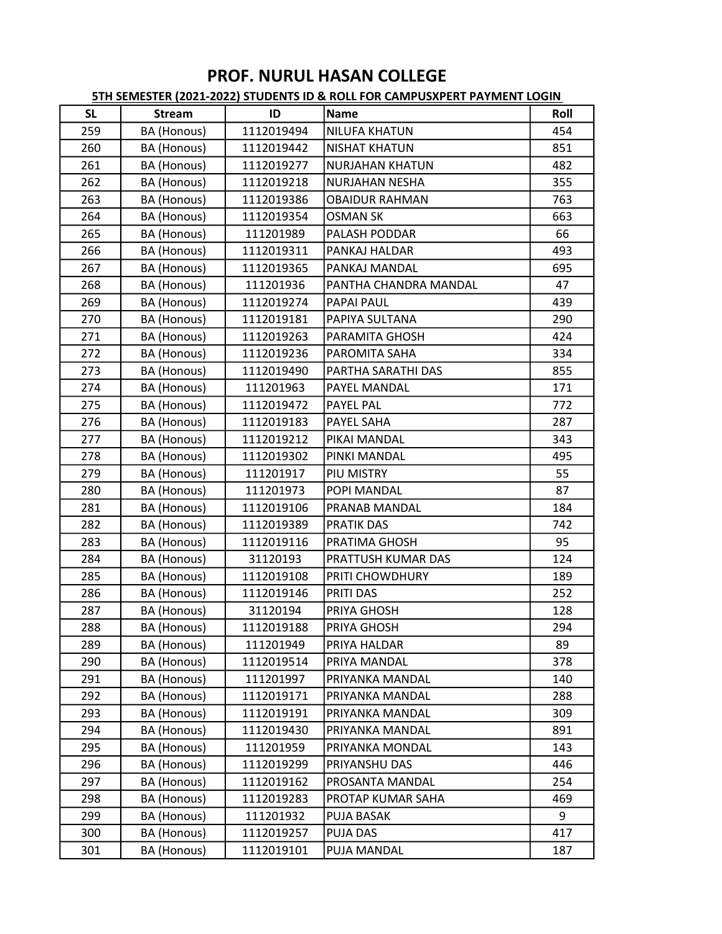| <b>SL</b> | <b>Stream</b>      | ID         | Name                  | Roll |
|-----------|--------------------|------------|-----------------------|------|
| 259       | BA (Honous)        | 1112019494 | <b>NILUFA KHATUN</b>  | 454  |
| 260       | BA (Honous)        | 1112019442 | <b>NISHAT KHATUN</b>  | 851  |
| 261       | BA (Honous)        | 1112019277 | NURJAHAN KHATUN       | 482  |
| 262       | BA (Honous)        | 1112019218 | <b>NURJAHAN NESHA</b> | 355  |
| 263       | BA (Honous)        | 1112019386 | <b>OBAIDUR RAHMAN</b> | 763  |
| 264       | BA (Honous)        | 1112019354 | <b>OSMAN SK</b>       | 663  |
| 265       | <b>BA</b> (Honous) | 111201989  | PALASH PODDAR         | 66   |
| 266       | BA (Honous)        | 1112019311 | PANKAJ HALDAR         | 493  |
| 267       | BA (Honous)        | 1112019365 | PANKAJ MANDAL         | 695  |
| 268       | BA (Honous)        | 111201936  | PANTHA CHANDRA MANDAL | 47   |
| 269       | BA (Honous)        | 1112019274 | PAPAI PAUL            | 439  |
| 270       | BA (Honous)        | 1112019181 | PAPIYA SULTANA        | 290  |
| 271       | BA (Honous)        | 1112019263 | PARAMITA GHOSH        | 424  |
| 272       | BA (Honous)        | 1112019236 | PAROMITA SAHA         | 334  |
| 273       | BA (Honous)        | 1112019490 | PARTHA SARATHI DAS    | 855  |
| 274       | BA (Honous)        | 111201963  | PAYEL MANDAL          | 171  |
| 275       | BA (Honous)        | 1112019472 | <b>PAYEL PAL</b>      | 772  |
| 276       | BA (Honous)        | 1112019183 | PAYEL SAHA            | 287  |
| 277       | BA (Honous)        | 1112019212 | PIKAI MANDAL          | 343  |
| 278       | BA (Honous)        | 1112019302 | PINKI MANDAL          | 495  |
| 279       | BA (Honous)        | 111201917  | PIU MISTRY            | 55   |
| 280       | BA (Honous)        | 111201973  | POPI MANDAL           | 87   |
| 281       | BA (Honous)        | 1112019106 | PRANAB MANDAL         | 184  |
| 282       | BA (Honous)        | 1112019389 | <b>PRATIK DAS</b>     | 742  |
| 283       | BA (Honous)        | 1112019116 | PRATIMA GHOSH         | 95   |
| 284       | BA (Honous)        | 31120193   | PRATTUSH KUMAR DAS    | 124  |
| 285       | BA (Honous)        | 1112019108 | PRITI CHOWDHURY       | 189  |
| 286       | BA (Honous)        | 1112019146 | PRITI DAS             | 252  |
| 287       | BA (Honous)        | 31120194   | PRIYA GHOSH           | 128  |
| 288       | BA (Honous)        | 1112019188 | PRIYA GHOSH           | 294  |
| 289       | BA (Honous)        | 111201949  | PRIYA HALDAR          | 89   |
| 290       | BA (Honous)        | 1112019514 | PRIYA MANDAL          | 378  |
| 291       | BA (Honous)        | 111201997  | PRIYANKA MANDAL       | 140  |
| 292       | BA (Honous)        | 1112019171 | PRIYANKA MANDAL       | 288  |
| 293       | BA (Honous)        | 1112019191 | PRIYANKA MANDAL       | 309  |
| 294       | BA (Honous)        | 1112019430 | PRIYANKA MANDAL       | 891  |
| 295       | BA (Honous)        | 111201959  | PRIYANKA MONDAL       | 143  |
| 296       | BA (Honous)        | 1112019299 | PRIYANSHU DAS         | 446  |
| 297       | BA (Honous)        | 1112019162 | PROSANTA MANDAL       | 254  |
| 298       | BA (Honous)        | 1112019283 | PROTAP KUMAR SAHA     | 469  |
| 299       | BA (Honous)        | 111201932  | PUJA BASAK            | 9    |
| 300       | BA (Honous)        | 1112019257 | PUJA DAS              | 417  |
| 301       | BA (Honous)        | 1112019101 | PUJA MANDAL           | 187  |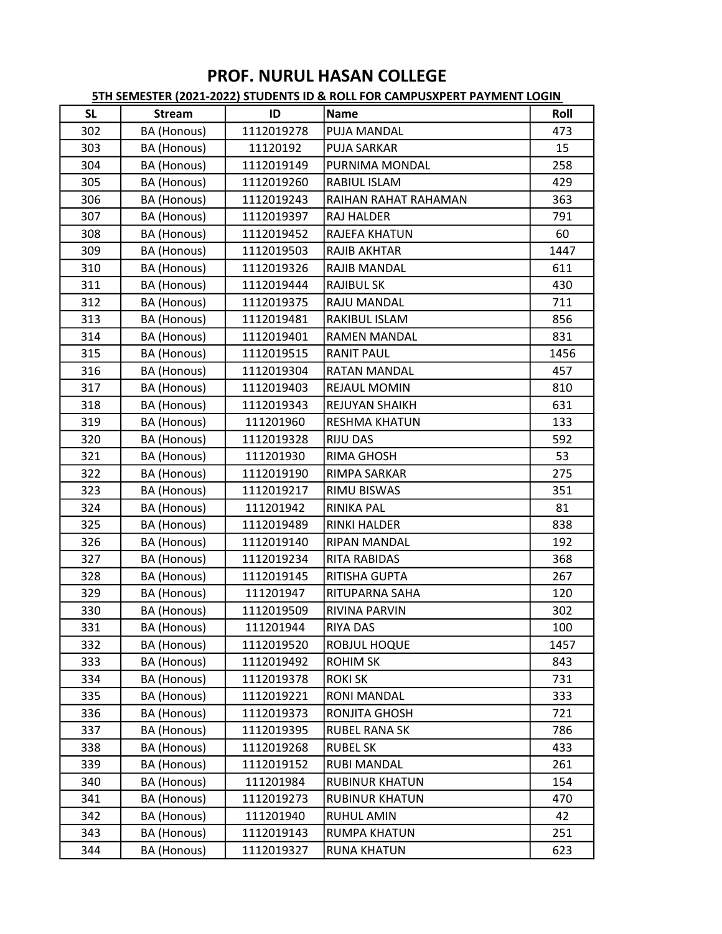| <b>SL</b> | <b>Stream</b>      | ID         | <b>Name</b>           | Roll |
|-----------|--------------------|------------|-----------------------|------|
| 302       | BA (Honous)        | 1112019278 | PUJA MANDAL           | 473  |
| 303       | BA (Honous)        | 11120192   | <b>PUJA SARKAR</b>    | 15   |
| 304       | BA (Honous)        | 1112019149 | PURNIMA MONDAL        | 258  |
| 305       | BA (Honous)        | 1112019260 | RABIUL ISLAM          | 429  |
| 306       | BA (Honous)        | 1112019243 | RAIHAN RAHAT RAHAMAN  | 363  |
| 307       | BA (Honous)        | 1112019397 | RAJ HALDER            | 791  |
| 308       | BA (Honous)        | 1112019452 | RAJEFA KHATUN         | 60   |
| 309       | BA (Honous)        | 1112019503 | <b>RAJIB AKHTAR</b>   | 1447 |
| 310       | BA (Honous)        | 1112019326 | RAJIB MANDAL          | 611  |
| 311       | BA (Honous)        | 1112019444 | <b>RAJIBUL SK</b>     | 430  |
| 312       | BA (Honous)        | 1112019375 | RAJU MANDAL           | 711  |
| 313       | BA (Honous)        | 1112019481 | RAKIBUL ISLAM         | 856  |
| 314       | BA (Honous)        | 1112019401 | <b>RAMEN MANDAL</b>   | 831  |
| 315       | BA (Honous)        | 1112019515 | <b>RANIT PAUL</b>     | 1456 |
| 316       | BA (Honous)        | 1112019304 | <b>RATAN MANDAL</b>   | 457  |
| 317       | BA (Honous)        | 1112019403 | <b>REJAUL MOMIN</b>   | 810  |
| 318       | BA (Honous)        | 1112019343 | <b>REJUYAN SHAIKH</b> | 631  |
| 319       | BA (Honous)        | 111201960  | RESHMA KHATUN         | 133  |
| 320       | BA (Honous)        | 1112019328 | <b>RIJU DAS</b>       | 592  |
| 321       | BA (Honous)        | 111201930  | RIMA GHOSH            | 53   |
| 322       | BA (Honous)        | 1112019190 | RIMPA SARKAR          | 275  |
| 323       | BA (Honous)        | 1112019217 | <b>RIMU BISWAS</b>    | 351  |
| 324       | BA (Honous)        | 111201942  | RINIKA PAL            | 81   |
| 325       | BA (Honous)        | 1112019489 | <b>RINKI HALDER</b>   | 838  |
| 326       | BA (Honous)        | 1112019140 | RIPAN MANDAL          | 192  |
| 327       | BA (Honous)        | 1112019234 | <b>RITA RABIDAS</b>   | 368  |
| 328       | BA (Honous)        | 1112019145 | RITISHA GUPTA         | 267  |
| 329       | BA (Honous)        | 111201947  | RITUPARNA SAHA        | 120  |
| 330       | BA (Honous)        | 1112019509 | <b>RIVINA PARVIN</b>  | 302  |
| 331       | BA (Honous)        | 111201944  | <b>RIYA DAS</b>       | 100  |
| 332       | BA (Honous)        | 1112019520 | <b>ROBJUL HOQUE</b>   | 1457 |
| 333       | BA (Honous)        | 1112019492 | <b>ROHIM SK</b>       | 843  |
| 334       | BA (Honous)        | 1112019378 | <b>ROKISK</b>         | 731  |
| 335       | BA (Honous)        | 1112019221 | <b>RONI MANDAL</b>    | 333  |
| 336       | BA (Honous)        | 1112019373 | RONJITA GHOSH         | 721  |
| 337       | BA (Honous)        | 1112019395 | <b>RUBEL RANA SK</b>  | 786  |
| 338       | BA (Honous)        | 1112019268 | <b>RUBEL SK</b>       | 433  |
| 339       | <b>BA</b> (Honous) | 1112019152 | <b>RUBI MANDAL</b>    | 261  |
| 340       | BA (Honous)        | 111201984  | RUBINUR KHATUN        | 154  |
| 341       | BA (Honous)        | 1112019273 | <b>RUBINUR KHATUN</b> | 470  |
| 342       | BA (Honous)        | 111201940  | <b>RUHUL AMIN</b>     | 42   |
| 343       | BA (Honous)        | 1112019143 | <b>RUMPA KHATUN</b>   | 251  |
| 344       | BA (Honous)        | 1112019327 | <b>RUNA KHATUN</b>    | 623  |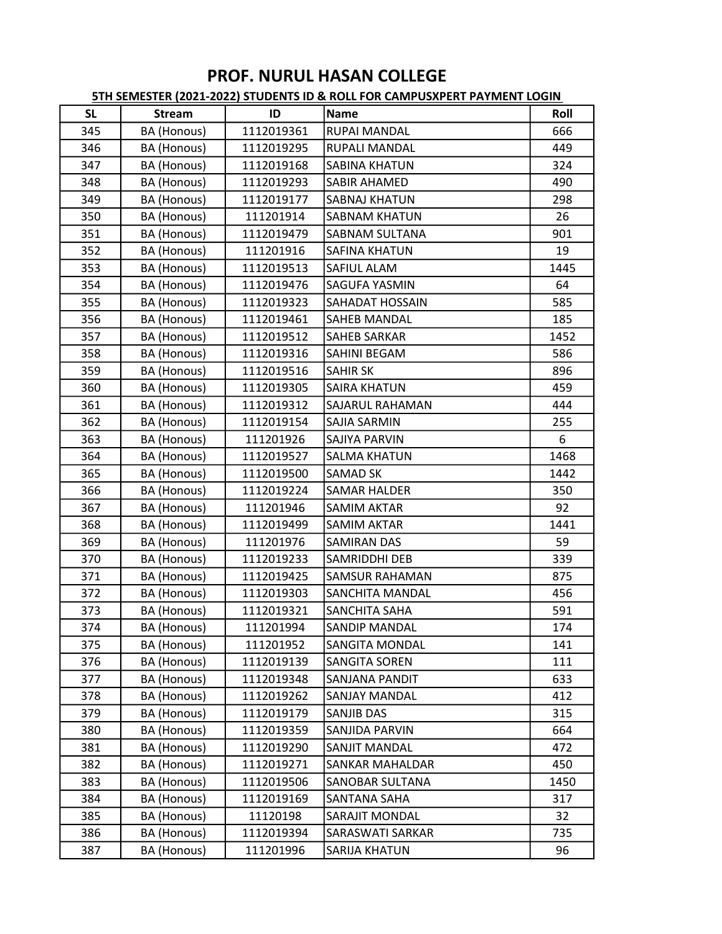| <b>SL</b> | <b>Stream</b> | ID         | <b>Name</b>            | Roll |
|-----------|---------------|------------|------------------------|------|
| 345       | BA (Honous)   | 1112019361 | RUPAI MANDAL           | 666  |
| 346       | BA (Honous)   | 1112019295 | RUPALI MANDAL          | 449  |
| 347       | BA (Honous)   | 1112019168 | <b>SABINA KHATUN</b>   | 324  |
| 348       | BA (Honous)   | 1112019293 | <b>SABIR AHAMED</b>    | 490  |
| 349       | BA (Honous)   | 1112019177 | <b>SABNAJ KHATUN</b>   | 298  |
| 350       | BA (Honous)   | 111201914  | <b>SABNAM KHATUN</b>   | 26   |
| 351       | BA (Honous)   | 1112019479 | <b>SABNAM SULTANA</b>  | 901  |
| 352       | BA (Honous)   | 111201916  | <b>SAFINA KHATUN</b>   | 19   |
| 353       | BA (Honous)   | 1112019513 | <b>SAFIUL ALAM</b>     | 1445 |
| 354       | BA (Honous)   | 1112019476 | <b>SAGUFA YASMIN</b>   | 64   |
| 355       | BA (Honous)   | 1112019323 | SAHADAT HOSSAIN        | 585  |
| 356       | BA (Honous)   | 1112019461 | <b>SAHEB MANDAL</b>    | 185  |
| 357       | BA (Honous)   | 1112019512 | <b>SAHEB SARKAR</b>    | 1452 |
| 358       | BA (Honous)   | 1112019316 | SAHINI BEGAM           | 586  |
| 359       | BA (Honous)   | 1112019516 | <b>SAHIR SK</b>        | 896  |
| 360       | BA (Honous)   | 1112019305 | <b>SAIRA KHATUN</b>    | 459  |
| 361       | BA (Honous)   | 1112019312 | SAJARUL RAHAMAN        | 444  |
| 362       | BA (Honous)   | 1112019154 | <b>SAJIA SARMIN</b>    | 255  |
| 363       | BA (Honous)   | 111201926  | SAJIYA PARVIN          | 6    |
| 364       | BA (Honous)   | 1112019527 | <b>SALMA KHATUN</b>    | 1468 |
| 365       | BA (Honous)   | 1112019500 | <b>SAMAD SK</b>        | 1442 |
| 366       | BA (Honous)   | 1112019224 | <b>SAMAR HALDER</b>    | 350  |
| 367       | BA (Honous)   | 111201946  | <b>SAMIM AKTAR</b>     | 92   |
| 368       | BA (Honous)   | 1112019499 | <b>SAMIM AKTAR</b>     | 1441 |
| 369       | BA (Honous)   | 111201976  | <b>SAMIRAN DAS</b>     | 59   |
| 370       | BA (Honous)   | 1112019233 | SAMRIDDHI DEB          | 339  |
| 371       | BA (Honous)   | 1112019425 | <b>SAMSUR RAHAMAN</b>  | 875  |
| 372       | BA (Honous)   | 1112019303 | SANCHITA MANDAL        | 456  |
| 373       | BA (Honous)   | 1112019321 | <b>SANCHITA SAHA</b>   | 591  |
| 374       | BA (Honous)   | 111201994  | <b>SANDIP MANDAL</b>   | 174  |
| 375       | BA (Honous)   | 111201952  | <b>SANGITA MONDAL</b>  | 141  |
| 376       | BA (Honous)   | 1112019139 | <b>SANGITA SOREN</b>   | 111  |
| 377       | BA (Honous)   | 1112019348 | SANJANA PANDIT         | 633  |
| 378       | BA (Honous)   | 1112019262 | <b>SANJAY MANDAL</b>   | 412  |
| 379       | BA (Honous)   | 1112019179 | SANJIB DAS             | 315  |
| 380       | BA (Honous)   | 1112019359 | <b>SANJIDA PARVIN</b>  | 664  |
| 381       | BA (Honous)   | 1112019290 | SANJIT MANDAL          | 472  |
| 382       | BA (Honous)   | 1112019271 | <b>SANKAR MAHALDAR</b> | 450  |
| 383       | BA (Honous)   | 1112019506 | <b>SANOBAR SULTANA</b> | 1450 |
| 384       | BA (Honous)   | 1112019169 | SANTANA SAHA           | 317  |
| 385       | BA (Honous)   | 11120198   | <b>SARAJIT MONDAL</b>  | 32   |
| 386       | BA (Honous)   | 1112019394 | SARASWATI SARKAR       | 735  |
| 387       | BA (Honous)   | 111201996  | SARIJA KHATUN          | 96   |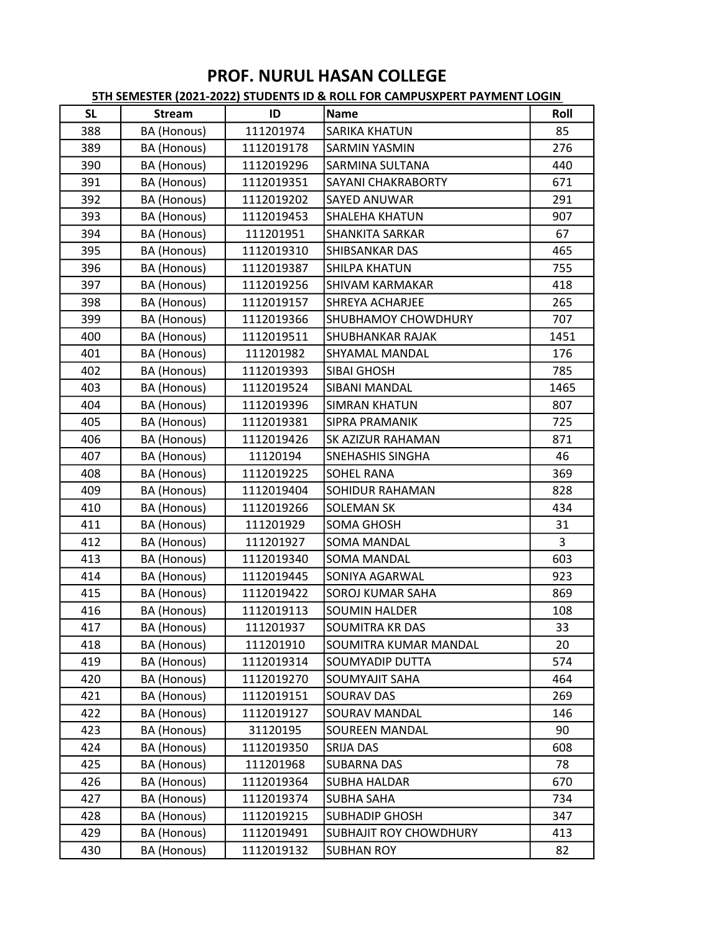| <b>SL</b> | <b>Stream</b> | ID         | Name                          | Roll |
|-----------|---------------|------------|-------------------------------|------|
| 388       | BA (Honous)   | 111201974  | <b>SARIKA KHATUN</b>          | 85   |
| 389       | BA (Honous)   | 1112019178 | <b>SARMIN YASMIN</b>          | 276  |
| 390       | BA (Honous)   | 1112019296 | <b>SARMINA SULTANA</b>        | 440  |
| 391       | BA (Honous)   | 1112019351 | SAYANI CHAKRABORTY            | 671  |
| 392       | BA (Honous)   | 1112019202 | <b>SAYED ANUWAR</b>           | 291  |
| 393       | BA (Honous)   | 1112019453 | <b>SHALEHA KHATUN</b>         | 907  |
| 394       | BA (Honous)   | 111201951  | <b>SHANKITA SARKAR</b>        | 67   |
| 395       | BA (Honous)   | 1112019310 | <b>SHIBSANKAR DAS</b>         | 465  |
| 396       | BA (Honous)   | 1112019387 | <b>SHILPA KHATUN</b>          | 755  |
| 397       | BA (Honous)   | 1112019256 | <b>SHIVAM KARMAKAR</b>        | 418  |
| 398       | BA (Honous)   | 1112019157 | <b>SHREYA ACHARJEE</b>        | 265  |
| 399       | BA (Honous)   | 1112019366 | <b>SHUBHAMOY CHOWDHURY</b>    | 707  |
| 400       | BA (Honous)   | 1112019511 | <b>SHUBHANKAR RAJAK</b>       | 1451 |
| 401       | BA (Honous)   | 111201982  | <b>SHYAMAL MANDAL</b>         | 176  |
| 402       | BA (Honous)   | 1112019393 | <b>SIBAI GHOSH</b>            | 785  |
| 403       | BA (Honous)   | 1112019524 | <b>SIBANI MANDAL</b>          | 1465 |
| 404       | BA (Honous)   | 1112019396 | <b>SIMRAN KHATUN</b>          | 807  |
| 405       | BA (Honous)   | 1112019381 | <b>SIPRA PRAMANIK</b>         | 725  |
| 406       | BA (Honous)   | 1112019426 | <b>SK AZIZUR RAHAMAN</b>      | 871  |
| 407       | BA (Honous)   | 11120194   | <b>SNEHASHIS SINGHA</b>       | 46   |
| 408       | BA (Honous)   | 1112019225 | <b>SOHEL RANA</b>             | 369  |
| 409       | BA (Honous)   | 1112019404 | <b>SOHIDUR RAHAMAN</b>        | 828  |
| 410       | BA (Honous)   | 1112019266 | <b>SOLEMAN SK</b>             | 434  |
| 411       | BA (Honous)   | 111201929  | <b>SOMA GHOSH</b>             | 31   |
| 412       | BA (Honous)   | 111201927  | <b>SOMA MANDAL</b>            | 3    |
| 413       | BA (Honous)   | 1112019340 | <b>SOMA MANDAL</b>            | 603  |
| 414       | BA (Honous)   | 1112019445 | <b>SONIYA AGARWAL</b>         | 923  |
| 415       | BA (Honous)   | 1112019422 | <b>SOROJ KUMAR SAHA</b>       | 869  |
| 416       | BA (Honous)   | 1112019113 | <b>SOUMIN HALDER</b>          | 108  |
| 417       | BA (Honous)   | 111201937  | SOUMITRA KR DAS               | 33   |
| 418       | BA (Honous)   | 111201910  | <b>SOUMITRA KUMAR MANDAL</b>  | 20   |
| 419       | BA (Honous)   | 1112019314 | <b>SOUMYADIP DUTTA</b>        | 574  |
| 420       | BA (Honous)   | 1112019270 | <b>SOUMYAJIT SAHA</b>         | 464  |
| 421       | BA (Honous)   | 1112019151 | <b>SOURAV DAS</b>             | 269  |
| 422       | BA (Honous)   | 1112019127 | <b>SOURAV MANDAL</b>          | 146  |
| 423       | BA (Honous)   | 31120195   | <b>SOUREEN MANDAL</b>         | 90   |
| 424       | BA (Honous)   | 1112019350 | <b>SRIJA DAS</b>              | 608  |
| 425       | BA (Honous)   | 111201968  | <b>SUBARNA DAS</b>            | 78   |
| 426       | BA (Honous)   | 1112019364 | <b>SUBHA HALDAR</b>           | 670  |
| 427       | BA (Honous)   | 1112019374 | <b>SUBHA SAHA</b>             | 734  |
| 428       | BA (Honous)   | 1112019215 | <b>SUBHADIP GHOSH</b>         | 347  |
| 429       | BA (Honous)   | 1112019491 | <b>SUBHAJIT ROY CHOWDHURY</b> | 413  |
| 430       | BA (Honous)   | 1112019132 | <b>SUBHAN ROY</b>             | 82   |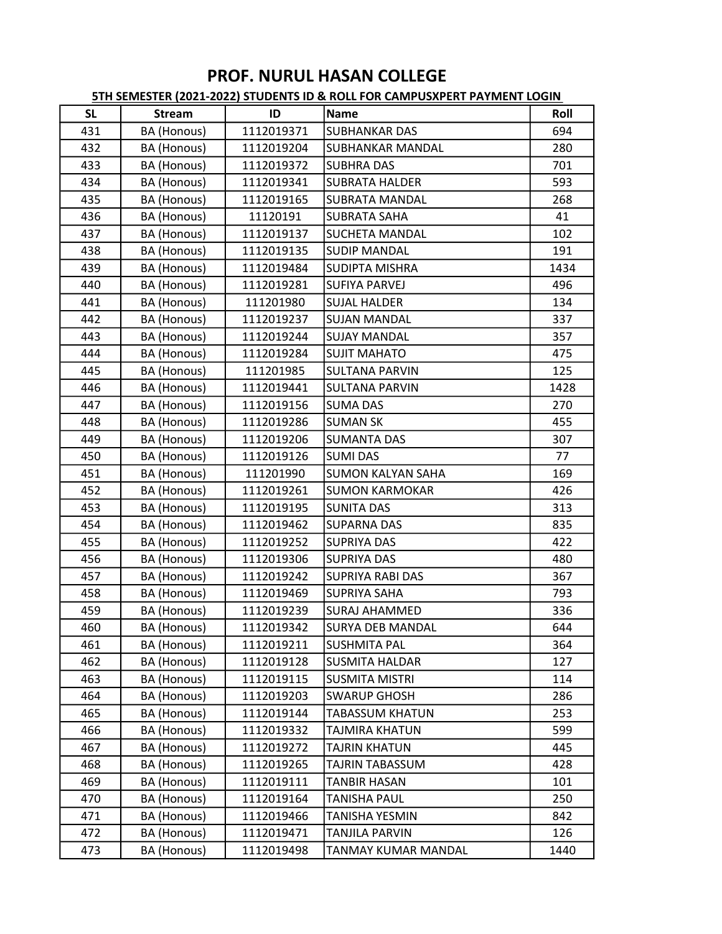| <b>SL</b> | <b>Stream</b> | ID         | <b>Name</b>              | Roll |
|-----------|---------------|------------|--------------------------|------|
| 431       | BA (Honous)   | 1112019371 | <b>SUBHANKAR DAS</b>     | 694  |
| 432       | BA (Honous)   | 1112019204 | <b>SUBHANKAR MANDAL</b>  | 280  |
| 433       | BA (Honous)   | 1112019372 | <b>SUBHRA DAS</b>        | 701  |
| 434       | BA (Honous)   | 1112019341 | <b>SUBRATA HALDER</b>    | 593  |
| 435       | BA (Honous)   | 1112019165 | <b>SUBRATA MANDAL</b>    | 268  |
| 436       | BA (Honous)   | 11120191   | <b>SUBRATA SAHA</b>      | 41   |
| 437       | BA (Honous)   | 1112019137 | <b>SUCHETA MANDAL</b>    | 102  |
| 438       | BA (Honous)   | 1112019135 | <b>SUDIP MANDAL</b>      | 191  |
| 439       | BA (Honous)   | 1112019484 | <b>SUDIPTA MISHRA</b>    | 1434 |
| 440       | BA (Honous)   | 1112019281 | <b>SUFIYA PARVEJ</b>     | 496  |
| 441       | BA (Honous)   | 111201980  | <b>SUJAL HALDER</b>      | 134  |
| 442       | BA (Honous)   | 1112019237 | <b>SUJAN MANDAL</b>      | 337  |
| 443       | BA (Honous)   | 1112019244 | <b>SUJAY MANDAL</b>      | 357  |
| 444       | BA (Honous)   | 1112019284 | <b>SUJIT MAHATO</b>      | 475  |
| 445       | BA (Honous)   | 111201985  | <b>SULTANA PARVIN</b>    | 125  |
| 446       | BA (Honous)   | 1112019441 | <b>SULTANA PARVIN</b>    | 1428 |
| 447       | BA (Honous)   | 1112019156 | <b>SUMA DAS</b>          | 270  |
| 448       | BA (Honous)   | 1112019286 | <b>SUMAN SK</b>          | 455  |
| 449       | BA (Honous)   | 1112019206 | <b>SUMANTA DAS</b>       | 307  |
| 450       | BA (Honous)   | 1112019126 | <b>SUMI DAS</b>          | 77   |
| 451       | BA (Honous)   | 111201990  | <b>SUMON KALYAN SAHA</b> | 169  |
| 452       | BA (Honous)   | 1112019261 | <b>SUMON KARMOKAR</b>    | 426  |
| 453       | BA (Honous)   | 1112019195 | <b>SUNITA DAS</b>        | 313  |
| 454       | BA (Honous)   | 1112019462 | <b>SUPARNA DAS</b>       | 835  |
| 455       | BA (Honous)   | 1112019252 | <b>SUPRIYA DAS</b>       | 422  |
| 456       | BA (Honous)   | 1112019306 | <b>SUPRIYA DAS</b>       | 480  |
| 457       | BA (Honous)   | 1112019242 | <b>SUPRIYA RABI DAS</b>  | 367  |
| 458       | BA (Honous)   | 1112019469 | <b>SUPRIYA SAHA</b>      | 793  |
| 459       | BA (Honous)   | 1112019239 | <b>SURAJ AHAMMED</b>     | 336  |
| 460       | BA (Honous)   | 1112019342 | <b>SURYA DEB MANDAL</b>  | 644  |
| 461       | BA (Honous)   | 1112019211 | <b>SUSHMITA PAL</b>      | 364  |
| 462       | BA (Honous)   | 1112019128 | <b>SUSMITA HALDAR</b>    | 127  |
| 463       | BA (Honous)   | 1112019115 | <b>SUSMITA MISTRI</b>    | 114  |
| 464       | BA (Honous)   | 1112019203 | <b>SWARUP GHOSH</b>      | 286  |
| 465       | BA (Honous)   | 1112019144 | TABASSUM KHATUN          | 253  |
| 466       | BA (Honous)   | 1112019332 | TAJMIRA KHATUN           | 599  |
| 467       | BA (Honous)   | 1112019272 | TAJRIN KHATUN            | 445  |
| 468       | BA (Honous)   | 1112019265 | TAJRIN TABASSUM          | 428  |
| 469       | BA (Honous)   | 1112019111 | TANBIR HASAN             | 101  |
| 470       | BA (Honous)   | 1112019164 | <b>TANISHA PAUL</b>      | 250  |
| 471       | BA (Honous)   | 1112019466 | TANISHA YESMIN           | 842  |
| 472       | BA (Honous)   | 1112019471 | TANJILA PARVIN           | 126  |
| 473       | BA (Honous)   | 1112019498 | TANMAY KUMAR MANDAL      | 1440 |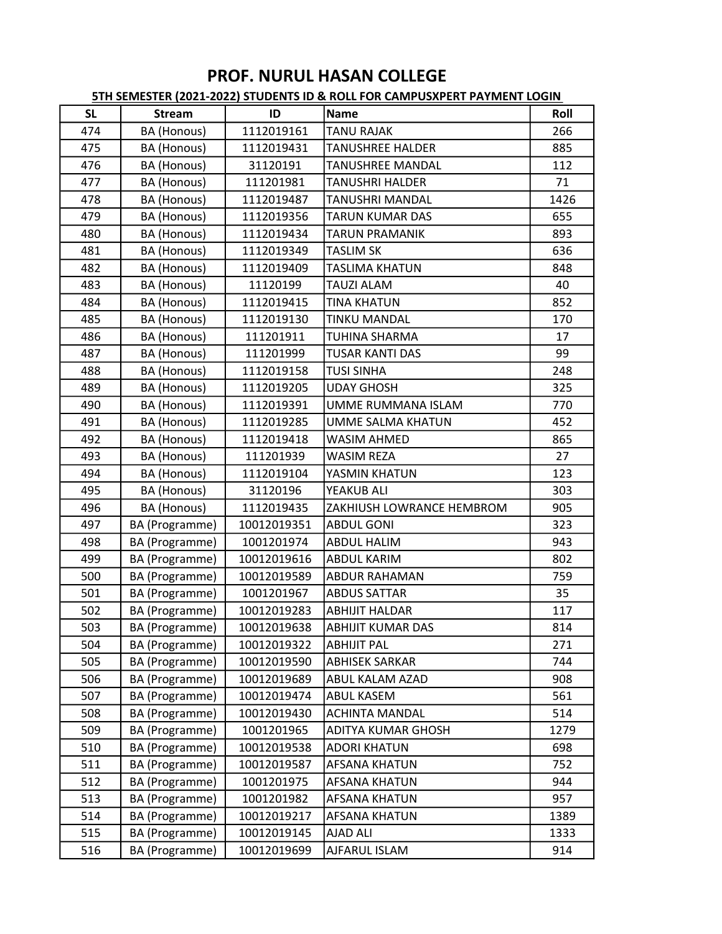| <b>SL</b> | <b>Stream</b>      | ID          | <b>Name</b>               | Roll |
|-----------|--------------------|-------------|---------------------------|------|
| 474       | BA (Honous)        | 1112019161  | <b>TANU RAJAK</b>         | 266  |
| 475       | BA (Honous)        | 1112019431  | <b>TANUSHREE HALDER</b>   | 885  |
| 476       | BA (Honous)        | 31120191    | TANUSHREE MANDAL          | 112  |
| 477       | BA (Honous)        | 111201981   | TANUSHRI HALDER           | 71   |
| 478       | BA (Honous)        | 1112019487  | <b>TANUSHRI MANDAL</b>    | 1426 |
| 479       | BA (Honous)        | 1112019356  | TARUN KUMAR DAS           | 655  |
| 480       | BA (Honous)        | 1112019434  | <b>TARUN PRAMANIK</b>     | 893  |
| 481       | BA (Honous)        | 1112019349  | <b>TASLIM SK</b>          | 636  |
| 482       | <b>BA</b> (Honous) | 1112019409  | <b>TASLIMA KHATUN</b>     | 848  |
| 483       | BA (Honous)        | 11120199    | TAUZI ALAM                | 40   |
| 484       | BA (Honous)        | 1112019415  | <b>TINA KHATUN</b>        | 852  |
| 485       | BA (Honous)        | 1112019130  | <b>TINKU MANDAL</b>       | 170  |
| 486       | BA (Honous)        | 111201911   | TUHINA SHARMA             | 17   |
| 487       | BA (Honous)        | 111201999   | TUSAR KANTI DAS           | 99   |
| 488       | BA (Honous)        | 1112019158  | <b>TUSI SINHA</b>         | 248  |
| 489       | BA (Honous)        | 1112019205  | <b>UDAY GHOSH</b>         | 325  |
| 490       | BA (Honous)        | 1112019391  | UMME RUMMANA ISLAM        | 770  |
| 491       | BA (Honous)        | 1112019285  | UMME SALMA KHATUN         | 452  |
| 492       | BA (Honous)        | 1112019418  | <b>WASIM AHMED</b>        | 865  |
| 493       | BA (Honous)        | 111201939   | <b>WASIM REZA</b>         | 27   |
| 494       | BA (Honous)        | 1112019104  | YASMIN KHATUN             | 123  |
| 495       | BA (Honous)        | 31120196    | YEAKUB ALI                | 303  |
| 496       | BA (Honous)        | 1112019435  | ZAKHIUSH LOWRANCE HEMBROM | 905  |
| 497       | BA (Programme)     | 10012019351 | <b>ABDUL GONI</b>         | 323  |
| 498       | BA (Programme)     | 1001201974  | <b>ABDUL HALIM</b>        | 943  |
| 499       | BA (Programme)     | 10012019616 | <b>ABDUL KARIM</b>        | 802  |
| 500       | BA (Programme)     | 10012019589 | <b>ABDUR RAHAMAN</b>      | 759  |
| 501       | BA (Programme)     | 1001201967  | <b>ABDUS SATTAR</b>       | 35   |
| 502       | BA (Programme)     | 10012019283 | <b>ABHIJIT HALDAR</b>     | 117  |
| 503       | BA (Programme)     | 10012019638 | ABHIJIT KUMAR DAS         | 814  |
| 504       | BA (Programme)     | 10012019322 | <b>ABHIJIT PAL</b>        | 271  |
| 505       | BA (Programme)     | 10012019590 | <b>ABHISEK SARKAR</b>     | 744  |
| 506       | BA (Programme)     | 10012019689 | <b>ABUL KALAM AZAD</b>    | 908  |
| 507       | BA (Programme)     | 10012019474 | <b>ABUL KASEM</b>         | 561  |
| 508       | BA (Programme)     | 10012019430 | <b>ACHINTA MANDAL</b>     | 514  |
| 509       | BA (Programme)     | 1001201965  | <b>ADITYA KUMAR GHOSH</b> | 1279 |
| 510       | BA (Programme)     | 10012019538 | <b>ADORI KHATUN</b>       | 698  |
| 511       | BA (Programme)     | 10012019587 | <b>AFSANA KHATUN</b>      | 752  |
| 512       | BA (Programme)     | 1001201975  | <b>AFSANA KHATUN</b>      | 944  |
| 513       | BA (Programme)     | 1001201982  | <b>AFSANA KHATUN</b>      | 957  |
| 514       | BA (Programme)     | 10012019217 | <b>AFSANA KHATUN</b>      | 1389 |
| 515       | BA (Programme)     | 10012019145 | <b>AJAD ALI</b>           | 1333 |
| 516       | BA (Programme)     | 10012019699 | AJFARUL ISLAM             | 914  |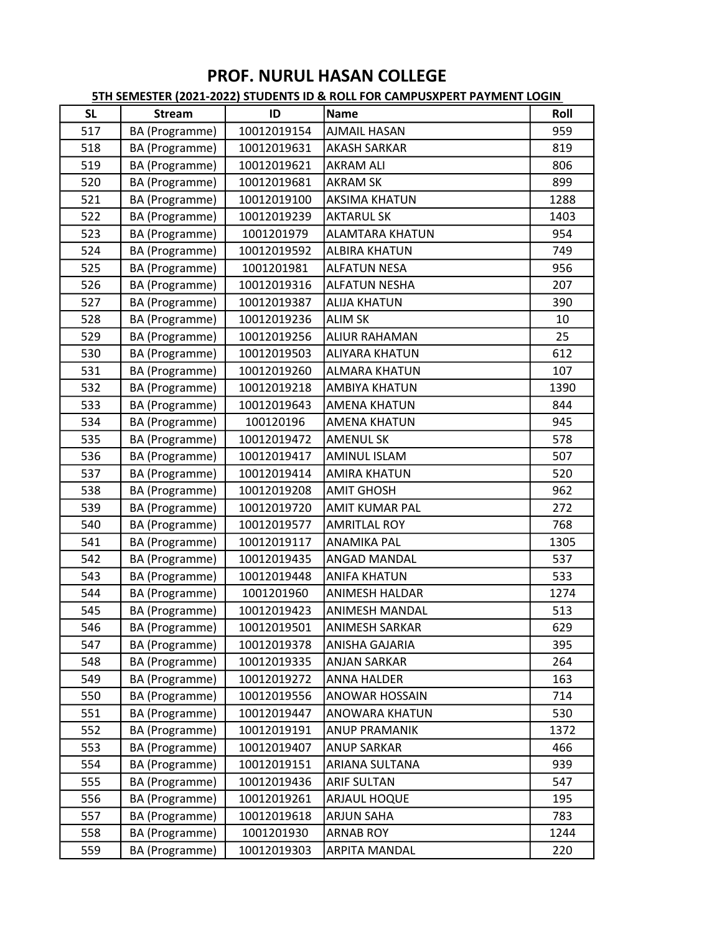| <b>SL</b> | <b>Stream</b>  | ID          | Name                   | Roll |
|-----------|----------------|-------------|------------------------|------|
| 517       | BA (Programme) | 10012019154 | <b>AJMAIL HASAN</b>    | 959  |
| 518       | BA (Programme) | 10012019631 | <b>AKASH SARKAR</b>    | 819  |
| 519       | BA (Programme) | 10012019621 | <b>AKRAM ALI</b>       | 806  |
| 520       | BA (Programme) | 10012019681 | <b>AKRAM SK</b>        | 899  |
| 521       | BA (Programme) | 10012019100 | <b>AKSIMA KHATUN</b>   | 1288 |
| 522       | BA (Programme) | 10012019239 | <b>AKTARUL SK</b>      | 1403 |
| 523       | BA (Programme) | 1001201979  | <b>ALAMTARA KHATUN</b> | 954  |
| 524       | BA (Programme) | 10012019592 | <b>ALBIRA KHATUN</b>   | 749  |
| 525       | BA (Programme) | 1001201981  | <b>ALFATUN NESA</b>    | 956  |
| 526       | BA (Programme) | 10012019316 | <b>ALFATUN NESHA</b>   | 207  |
| 527       | BA (Programme) | 10012019387 | <b>ALIJA KHATUN</b>    | 390  |
| 528       | BA (Programme) | 10012019236 | <b>ALIM SK</b>         | 10   |
| 529       | BA (Programme) | 10012019256 | <b>ALIUR RAHAMAN</b>   | 25   |
| 530       | BA (Programme) | 10012019503 | <b>ALIYARA KHATUN</b>  | 612  |
| 531       | BA (Programme) | 10012019260 | <b>ALMARA KHATUN</b>   | 107  |
| 532       | BA (Programme) | 10012019218 | <b>AMBIYA KHATUN</b>   | 1390 |
| 533       | BA (Programme) | 10012019643 | <b>AMENA KHATUN</b>    | 844  |
| 534       | BA (Programme) | 100120196   | <b>AMENA KHATUN</b>    | 945  |
| 535       | BA (Programme) | 10012019472 | <b>AMENUL SK</b>       | 578  |
| 536       | BA (Programme) | 10012019417 | <b>AMINUL ISLAM</b>    | 507  |
| 537       | BA (Programme) | 10012019414 | <b>AMIRA KHATUN</b>    | 520  |
| 538       | BA (Programme) | 10012019208 | <b>AMIT GHOSH</b>      | 962  |
| 539       | BA (Programme) | 10012019720 | <b>AMIT KUMAR PAL</b>  | 272  |
| 540       | BA (Programme) | 10012019577 | <b>AMRITLAL ROY</b>    | 768  |
| 541       | BA (Programme) | 10012019117 | <b>ANAMIKA PAL</b>     | 1305 |
| 542       | BA (Programme) | 10012019435 | <b>ANGAD MANDAL</b>    | 537  |
| 543       | BA (Programme) | 10012019448 | <b>ANIFA KHATUN</b>    | 533  |
| 544       | BA (Programme) | 1001201960  | <b>ANIMESH HALDAR</b>  | 1274 |
| 545       | BA (Programme) | 10012019423 | <b>ANIMESH MANDAL</b>  | 513  |
| 546       | BA (Programme) | 10012019501 | ANIMESH SARKAR         | 629  |
| 547       | BA (Programme) | 10012019378 | ANISHA GAJARIA         | 395  |
| 548       | BA (Programme) | 10012019335 | <b>ANJAN SARKAR</b>    | 264  |
| 549       | BA (Programme) | 10012019272 | <b>ANNA HALDER</b>     | 163  |
| 550       | BA (Programme) | 10012019556 | <b>ANOWAR HOSSAIN</b>  | 714  |
| 551       | BA (Programme) | 10012019447 | ANOWARA KHATUN         | 530  |
| 552       | BA (Programme) | 10012019191 | <b>ANUP PRAMANIK</b>   | 1372 |
| 553       | BA (Programme) | 10012019407 | <b>ANUP SARKAR</b>     | 466  |
| 554       | BA (Programme) | 10012019151 | ARIANA SULTANA         | 939  |
| 555       | BA (Programme) | 10012019436 | <b>ARIF SULTAN</b>     | 547  |
| 556       | BA (Programme) | 10012019261 | ARJAUL HOQUE           | 195  |
| 557       | BA (Programme) | 10012019618 | <b>ARJUN SAHA</b>      | 783  |
| 558       | BA (Programme) | 1001201930  | <b>ARNAB ROY</b>       | 1244 |
| 559       | BA (Programme) | 10012019303 | <b>ARPITA MANDAL</b>   | 220  |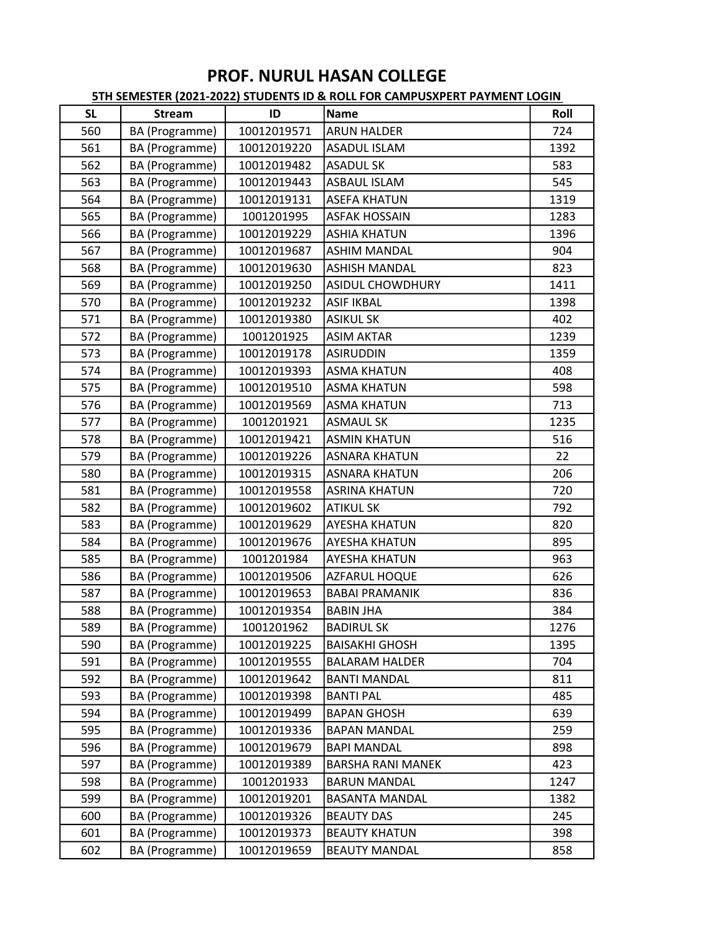| <b>SL</b> | <b>Stream</b>  | ID          | Name                     | Roll |
|-----------|----------------|-------------|--------------------------|------|
| 560       | BA (Programme) | 10012019571 | <b>ARUN HALDER</b>       | 724  |
| 561       | BA (Programme) | 10012019220 | <b>ASADUL ISLAM</b>      | 1392 |
| 562       | BA (Programme) | 10012019482 | <b>ASADUL SK</b>         | 583  |
| 563       | BA (Programme) | 10012019443 | <b>ASBAUL ISLAM</b>      | 545  |
| 564       | BA (Programme) | 10012019131 | <b>ASEFA KHATUN</b>      | 1319 |
| 565       | BA (Programme) | 1001201995  | <b>ASFAK HOSSAIN</b>     | 1283 |
| 566       | BA (Programme) | 10012019229 | <b>ASHIA KHATUN</b>      | 1396 |
| 567       | BA (Programme) | 10012019687 | <b>ASHIM MANDAL</b>      | 904  |
| 568       | BA (Programme) | 10012019630 | <b>ASHISH MANDAL</b>     | 823  |
| 569       | BA (Programme) | 10012019250 | <b>ASIDUL CHOWDHURY</b>  | 1411 |
| 570       | BA (Programme) | 10012019232 | <b>ASIF IKBAL</b>        | 1398 |
| 571       | BA (Programme) | 10012019380 | <b>ASIKUL SK</b>         | 402  |
| 572       | BA (Programme) | 1001201925  | <b>ASIM AKTAR</b>        | 1239 |
| 573       | BA (Programme) | 10012019178 | <b>ASIRUDDIN</b>         | 1359 |
| 574       | BA (Programme) | 10012019393 | <b>ASMA KHATUN</b>       | 408  |
| 575       | BA (Programme) | 10012019510 | <b>ASMA KHATUN</b>       | 598  |
| 576       | BA (Programme) | 10012019569 | <b>ASMA KHATUN</b>       | 713  |
| 577       | BA (Programme) | 1001201921  | <b>ASMAUL SK</b>         | 1235 |
| 578       | BA (Programme) | 10012019421 | <b>ASMIN KHATUN</b>      | 516  |
| 579       | BA (Programme) | 10012019226 | <b>ASNARA KHATUN</b>     | 22   |
| 580       | BA (Programme) | 10012019315 | <b>ASNARA KHATUN</b>     | 206  |
| 581       | BA (Programme) | 10012019558 | <b>ASRINA KHATUN</b>     | 720  |
| 582       | BA (Programme) | 10012019602 | <b>ATIKUL SK</b>         | 792  |
| 583       | BA (Programme) | 10012019629 | <b>AYESHA KHATUN</b>     | 820  |
| 584       | BA (Programme) | 10012019676 | <b>AYESHA KHATUN</b>     | 895  |
| 585       | BA (Programme) | 1001201984  | <b>AYESHA KHATUN</b>     | 963  |
| 586       | BA (Programme) | 10012019506 | <b>AZFARUL HOQUE</b>     | 626  |
| 587       | BA (Programme) | 10012019653 | <b>BABAI PRAMANIK</b>    | 836  |
| 588       | BA (Programme) | 10012019354 | <b>BABIN JHA</b>         | 384  |
| 589       | BA (Programme) | 1001201962  | <b>BADIRUL SK</b>        | 1276 |
| 590       | BA (Programme) | 10012019225 | <b>BAISAKHI GHOSH</b>    | 1395 |
| 591       | BA (Programme) | 10012019555 | <b>BALARAM HALDER</b>    | 704  |
| 592       | BA (Programme) | 10012019642 | <b>BANTI MANDAL</b>      | 811  |
| 593       | BA (Programme) | 10012019398 | <b>BANTI PAL</b>         | 485  |
| 594       | BA (Programme) | 10012019499 | <b>BAPAN GHOSH</b>       | 639  |
| 595       | BA (Programme) | 10012019336 | <b>BAPAN MANDAL</b>      | 259  |
| 596       | BA (Programme) | 10012019679 | <b>BAPI MANDAL</b>       | 898  |
| 597       | BA (Programme) | 10012019389 | <b>BARSHA RANI MANEK</b> | 423  |
| 598       | BA (Programme) | 1001201933  | <b>BARUN MANDAL</b>      | 1247 |
| 599       | BA (Programme) | 10012019201 | <b>BASANTA MANDAL</b>    | 1382 |
| 600       | BA (Programme) | 10012019326 | <b>BEAUTY DAS</b>        | 245  |
| 601       | BA (Programme) | 10012019373 | <b>BEAUTY KHATUN</b>     | 398  |
| 602       | BA (Programme) | 10012019659 | <b>BEAUTY MANDAL</b>     | 858  |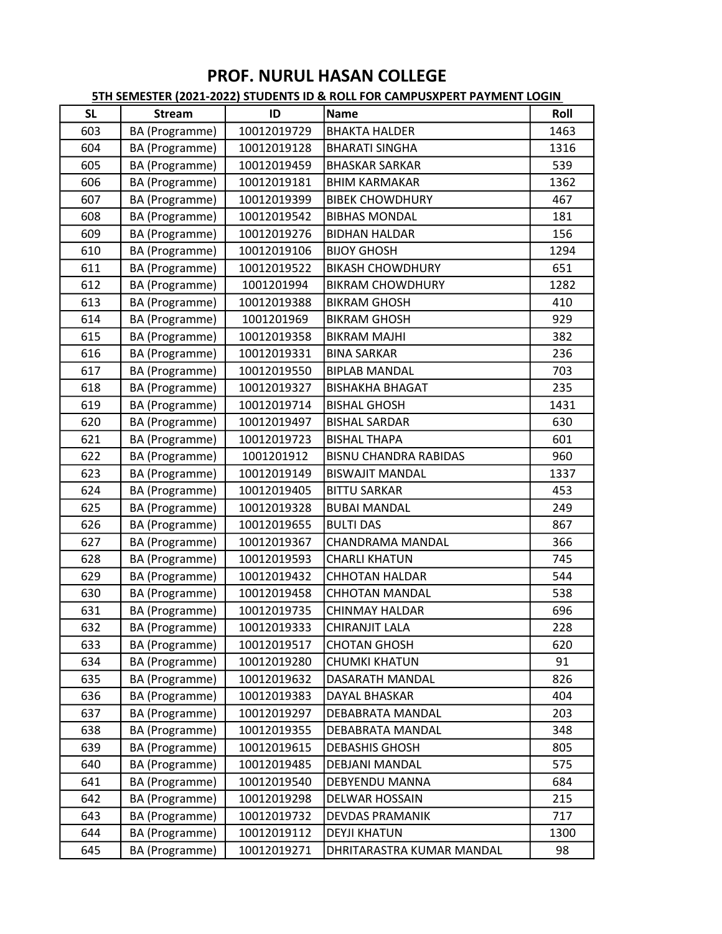| <b>SL</b> | <b>Stream</b>  | ID          | <b>Name</b>                  | Roll |
|-----------|----------------|-------------|------------------------------|------|
| 603       | BA (Programme) | 10012019729 | <b>BHAKTA HALDER</b>         | 1463 |
| 604       | BA (Programme) | 10012019128 | <b>BHARATI SINGHA</b>        | 1316 |
| 605       | BA (Programme) | 10012019459 | <b>BHASKAR SARKAR</b>        | 539  |
| 606       | BA (Programme) | 10012019181 | <b>BHIM KARMAKAR</b>         | 1362 |
| 607       | BA (Programme) | 10012019399 | <b>BIBEK CHOWDHURY</b>       | 467  |
| 608       | BA (Programme) | 10012019542 | <b>BIBHAS MONDAL</b>         | 181  |
| 609       | BA (Programme) | 10012019276 | <b>BIDHAN HALDAR</b>         | 156  |
| 610       | BA (Programme) | 10012019106 | <b>BIJOY GHOSH</b>           | 1294 |
| 611       | BA (Programme) | 10012019522 | <b>BIKASH CHOWDHURY</b>      | 651  |
| 612       | BA (Programme) | 1001201994  | <b>BIKRAM CHOWDHURY</b>      | 1282 |
| 613       | BA (Programme) | 10012019388 | <b>BIKRAM GHOSH</b>          | 410  |
| 614       | BA (Programme) | 1001201969  | <b>BIKRAM GHOSH</b>          | 929  |
| 615       | BA (Programme) | 10012019358 | <b>BIKRAM MAJHI</b>          | 382  |
| 616       | BA (Programme) | 10012019331 | <b>BINA SARKAR</b>           | 236  |
| 617       | BA (Programme) | 10012019550 | <b>BIPLAB MANDAL</b>         | 703  |
| 618       | BA (Programme) | 10012019327 | <b>BISHAKHA BHAGAT</b>       | 235  |
| 619       | BA (Programme) | 10012019714 | <b>BISHAL GHOSH</b>          | 1431 |
| 620       | BA (Programme) | 10012019497 | <b>BISHAL SARDAR</b>         | 630  |
| 621       | BA (Programme) | 10012019723 | <b>BISHAL THAPA</b>          | 601  |
| 622       | BA (Programme) | 1001201912  | <b>BISNU CHANDRA RABIDAS</b> | 960  |
| 623       | BA (Programme) | 10012019149 | <b>BISWAJIT MANDAL</b>       | 1337 |
| 624       | BA (Programme) | 10012019405 | <b>BITTU SARKAR</b>          | 453  |
| 625       | BA (Programme) | 10012019328 | <b>BUBAI MANDAL</b>          | 249  |
| 626       | BA (Programme) | 10012019655 | <b>BULTI DAS</b>             | 867  |
| 627       | BA (Programme) | 10012019367 | CHANDRAMA MANDAL             | 366  |
| 628       | BA (Programme) | 10012019593 | <b>CHARLI KHATUN</b>         | 745  |
| 629       | BA (Programme) | 10012019432 | <b>CHHOTAN HALDAR</b>        | 544  |
| 630       | BA (Programme) | 10012019458 | <b>CHHOTAN MANDAL</b>        | 538  |
| 631       | BA (Programme) | 10012019735 | <b>CHINMAY HALDAR</b>        | 696  |
| 632       | BA (Programme) | 10012019333 | <b>CHIRANJIT LALA</b>        | 228  |
| 633       | BA (Programme) | 10012019517 | <b>CHOTAN GHOSH</b>          | 620  |
| 634       | BA (Programme) | 10012019280 | CHUMKI KHATUN                | 91   |
| 635       | BA (Programme) | 10012019632 | DASARATH MANDAL              | 826  |
| 636       | BA (Programme) | 10012019383 | <b>DAYAL BHASKAR</b>         | 404  |
| 637       | BA (Programme) | 10012019297 | DEBABRATA MANDAL             | 203  |
| 638       | BA (Programme) | 10012019355 | DEBABRATA MANDAL             | 348  |
| 639       | BA (Programme) | 10012019615 | <b>DEBASHIS GHOSH</b>        | 805  |
| 640       | BA (Programme) | 10012019485 | <b>DEBJANI MANDAL</b>        | 575  |
| 641       | BA (Programme) | 10012019540 | DEBYENDU MANNA               | 684  |
| 642       | BA (Programme) | 10012019298 | DELWAR HOSSAIN               | 215  |
| 643       | BA (Programme) | 10012019732 | <b>DEVDAS PRAMANIK</b>       | 717  |
| 644       | BA (Programme) | 10012019112 | <b>DEYJI KHATUN</b>          | 1300 |
| 645       | BA (Programme) | 10012019271 | DHRITARASTRA KUMAR MANDAL    | 98   |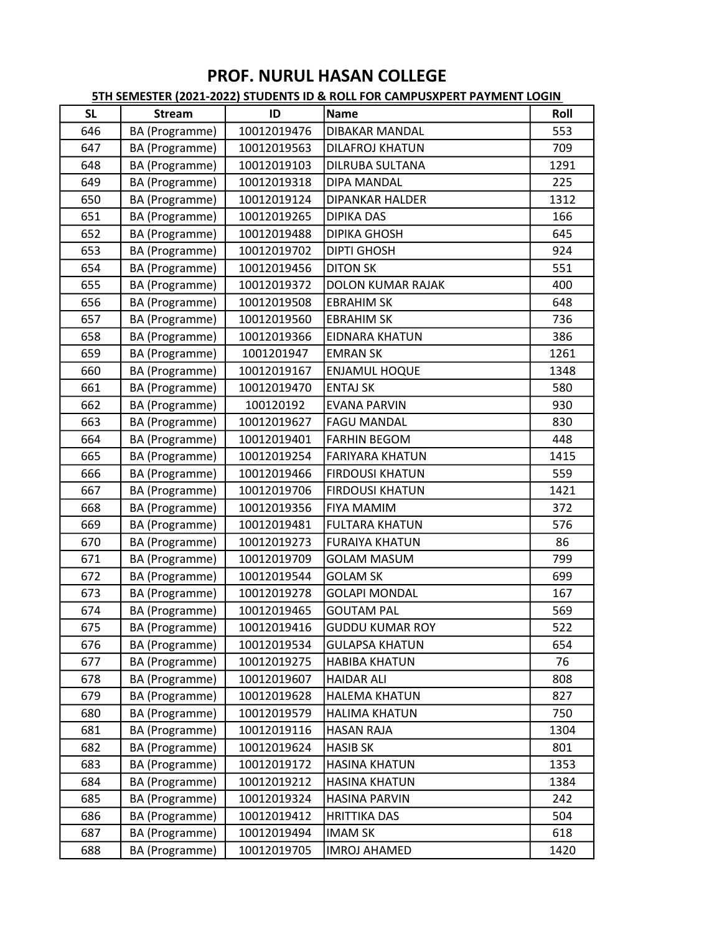| <b>SL</b> | <b>Stream</b>  | ID          | Name                     | Roll |
|-----------|----------------|-------------|--------------------------|------|
| 646       | BA (Programme) | 10012019476 | <b>DIBAKAR MANDAL</b>    | 553  |
| 647       | BA (Programme) | 10012019563 | <b>DILAFROJ KHATUN</b>   | 709  |
| 648       | BA (Programme) | 10012019103 | <b>DILRUBA SULTANA</b>   | 1291 |
| 649       | BA (Programme) | 10012019318 | <b>DIPA MANDAL</b>       | 225  |
| 650       | BA (Programme) | 10012019124 | <b>DIPANKAR HALDER</b>   | 1312 |
| 651       | BA (Programme) | 10012019265 | <b>DIPIKA DAS</b>        | 166  |
| 652       | BA (Programme) | 10012019488 | <b>DIPIKA GHOSH</b>      | 645  |
| 653       | BA (Programme) | 10012019702 | <b>DIPTI GHOSH</b>       | 924  |
| 654       | BA (Programme) | 10012019456 | <b>DITON SK</b>          | 551  |
| 655       | BA (Programme) | 10012019372 | <b>DOLON KUMAR RAJAK</b> | 400  |
| 656       | BA (Programme) | 10012019508 | <b>EBRAHIM SK</b>        | 648  |
| 657       | BA (Programme) | 10012019560 | <b>EBRAHIM SK</b>        | 736  |
| 658       | BA (Programme) | 10012019366 | <b>EIDNARA KHATUN</b>    | 386  |
| 659       | BA (Programme) | 1001201947  | <b>EMRAN SK</b>          | 1261 |
| 660       | BA (Programme) | 10012019167 | <b>ENJAMUL HOQUE</b>     | 1348 |
| 661       | BA (Programme) | 10012019470 | <b>ENTAJ SK</b>          | 580  |
| 662       | BA (Programme) | 100120192   | <b>EVANA PARVIN</b>      | 930  |
| 663       | BA (Programme) | 10012019627 | <b>FAGU MANDAL</b>       | 830  |
| 664       | BA (Programme) | 10012019401 | <b>FARHIN BEGOM</b>      | 448  |
| 665       | BA (Programme) | 10012019254 | <b>FARIYARA KHATUN</b>   | 1415 |
| 666       | BA (Programme) | 10012019466 | <b>FIRDOUSI KHATUN</b>   | 559  |
| 667       | BA (Programme) | 10012019706 | <b>FIRDOUSI KHATUN</b>   | 1421 |
| 668       | BA (Programme) | 10012019356 | <b>FIYA MAMIM</b>        | 372  |
| 669       | BA (Programme) | 10012019481 | <b>FULTARA KHATUN</b>    | 576  |
| 670       | BA (Programme) | 10012019273 | <b>FURAIYA KHATUN</b>    | 86   |
| 671       | BA (Programme) | 10012019709 | <b>GOLAM MASUM</b>       | 799  |
| 672       | BA (Programme) | 10012019544 | <b>GOLAM SK</b>          | 699  |
| 673       | BA (Programme) | 10012019278 | <b>GOLAPI MONDAL</b>     | 167  |
| 674       | BA (Programme) | 10012019465 | <b>GOUTAM PAL</b>        | 569  |
| 675       | BA (Programme) | 10012019416 | <b>GUDDU KUMAR ROY</b>   | 522  |
| 676       | BA (Programme) | 10012019534 | <b>GULAPSA KHATUN</b>    | 654  |
| 677       | BA (Programme) | 10012019275 | <b>HABIBA KHATUN</b>     | 76   |
| 678       | BA (Programme) | 10012019607 | <b>HAIDAR ALI</b>        | 808  |
| 679       | BA (Programme) | 10012019628 | <b>HALEMA KHATUN</b>     | 827  |
| 680       | BA (Programme) | 10012019579 | <b>HALIMA KHATUN</b>     | 750  |
| 681       | BA (Programme) | 10012019116 | <b>HASAN RAJA</b>        | 1304 |
| 682       | BA (Programme) | 10012019624 | <b>HASIB SK</b>          | 801  |
| 683       | BA (Programme) | 10012019172 | <b>HASINA KHATUN</b>     | 1353 |
| 684       | BA (Programme) | 10012019212 | <b>HASINA KHATUN</b>     | 1384 |
| 685       | BA (Programme) | 10012019324 | <b>HASINA PARVIN</b>     | 242  |
| 686       | BA (Programme) | 10012019412 | <b>HRITTIKA DAS</b>      | 504  |
| 687       | BA (Programme) | 10012019494 | <b>IMAM SK</b>           | 618  |
| 688       | BA (Programme) | 10012019705 | <b>IMROJ AHAMED</b>      | 1420 |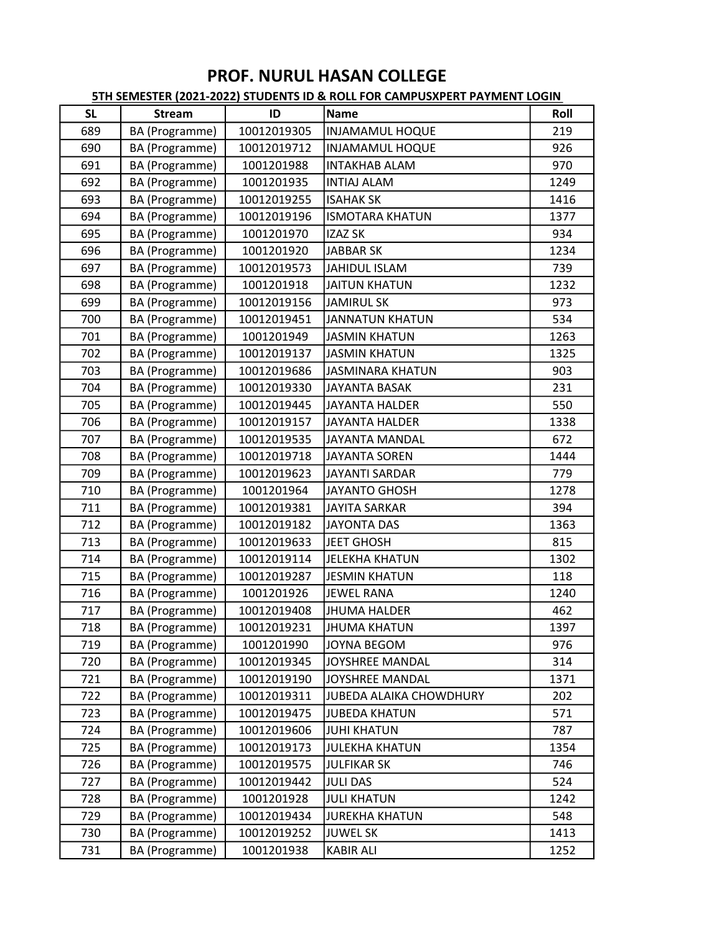| <b>SL</b> | <b>Stream</b>  | ID          | Name                           | Roll |
|-----------|----------------|-------------|--------------------------------|------|
| 689       | BA (Programme) | 10012019305 | <b>INJAMAMUL HOQUE</b>         | 219  |
| 690       | BA (Programme) | 10012019712 | <b>INJAMAMUL HOQUE</b>         | 926  |
| 691       | BA (Programme) | 1001201988  | <b>INTAKHAB ALAM</b>           | 970  |
| 692       | BA (Programme) | 1001201935  | <b>INTIAJ ALAM</b>             | 1249 |
| 693       | BA (Programme) | 10012019255 | <b>ISAHAK SK</b>               | 1416 |
| 694       | BA (Programme) | 10012019196 | <b>ISMOTARA KHATUN</b>         | 1377 |
| 695       | BA (Programme) | 1001201970  | <b>IZAZ SK</b>                 | 934  |
| 696       | BA (Programme) | 1001201920  | <b>JABBAR SK</b>               | 1234 |
| 697       | BA (Programme) | 10012019573 | <b>JAHIDUL ISLAM</b>           | 739  |
| 698       | BA (Programme) | 1001201918  | <b>JAITUN KHATUN</b>           | 1232 |
| 699       | BA (Programme) | 10012019156 | <b>JAMIRUL SK</b>              | 973  |
| 700       | BA (Programme) | 10012019451 | <b>JANNATUN KHATUN</b>         | 534  |
| 701       | BA (Programme) | 1001201949  | <b>JASMIN KHATUN</b>           | 1263 |
| 702       | BA (Programme) | 10012019137 | <b>JASMIN KHATUN</b>           | 1325 |
| 703       | BA (Programme) | 10012019686 | <b>JASMINARA KHATUN</b>        | 903  |
| 704       | BA (Programme) | 10012019330 | <b>JAYANTA BASAK</b>           | 231  |
| 705       | BA (Programme) | 10012019445 | <b>JAYANTA HALDER</b>          | 550  |
| 706       | BA (Programme) | 10012019157 | <b>JAYANTA HALDER</b>          | 1338 |
| 707       | BA (Programme) | 10012019535 | <b>JAYANTA MANDAL</b>          | 672  |
| 708       | BA (Programme) | 10012019718 | <b>JAYANTA SOREN</b>           | 1444 |
| 709       | BA (Programme) | 10012019623 | <b>JAYANTI SARDAR</b>          | 779  |
| 710       | BA (Programme) | 1001201964  | <b>JAYANTO GHOSH</b>           | 1278 |
| 711       | BA (Programme) | 10012019381 | <b>JAYITA SARKAR</b>           | 394  |
| 712       | BA (Programme) | 10012019182 | <b>JAYONTA DAS</b>             | 1363 |
| 713       | BA (Programme) | 10012019633 | <b>JEET GHOSH</b>              | 815  |
| 714       | BA (Programme) | 10012019114 | <b>JELEKHA KHATUN</b>          | 1302 |
| 715       | BA (Programme) | 10012019287 | <b>JESMIN KHATUN</b>           | 118  |
| 716       | BA (Programme) | 1001201926  | <b>JEWEL RANA</b>              | 1240 |
| 717       | BA (Programme) | 10012019408 | JHUMA HALDER                   | 462  |
| 718       | BA (Programme) | 10012019231 | <b>JHUMA KHATUN</b>            | 1397 |
| 719       | BA (Programme) | 1001201990  | <b>JOYNA BEGOM</b>             | 976  |
| 720       | BA (Programme) | 10012019345 | JOYSHREE MANDAL                | 314  |
| 721       | BA (Programme) | 10012019190 | <b>JOYSHREE MANDAL</b>         | 1371 |
| 722       | BA (Programme) | 10012019311 | <b>JUBEDA ALAIKA CHOWDHURY</b> | 202  |
| 723       | BA (Programme) | 10012019475 | <b>JUBEDA KHATUN</b>           | 571  |
| 724       | BA (Programme) | 10012019606 | <b>JUHI KHATUN</b>             | 787  |
| 725       | BA (Programme) | 10012019173 | <b>JULEKHA KHATUN</b>          | 1354 |
| 726       | BA (Programme) | 10012019575 | <b>JULFIKAR SK</b>             | 746  |
| 727       | BA (Programme) | 10012019442 | <b>JULI DAS</b>                | 524  |
| 728       | BA (Programme) | 1001201928  | <b>JULI KHATUN</b>             | 1242 |
| 729       | BA (Programme) | 10012019434 | <b>JUREKHA KHATUN</b>          | 548  |
| 730       | BA (Programme) | 10012019252 | <b>JUWEL SK</b>                | 1413 |
| 731       | BA (Programme) | 1001201938  | <b>KABIR ALI</b>               | 1252 |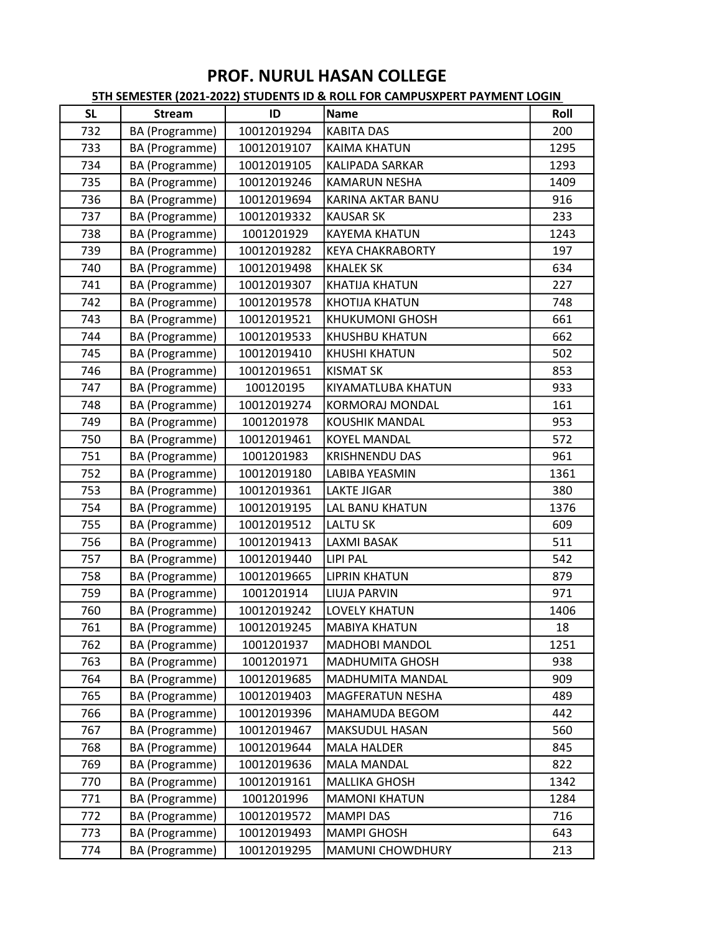| <b>SL</b> | <b>Stream</b>  | ID          | <b>Name</b>              | Roll |
|-----------|----------------|-------------|--------------------------|------|
| 732       | BA (Programme) | 10012019294 | <b>KABITA DAS</b>        | 200  |
| 733       | BA (Programme) | 10012019107 | <b>KAIMA KHATUN</b>      | 1295 |
| 734       | BA (Programme) | 10012019105 | <b>KALIPADA SARKAR</b>   | 1293 |
| 735       | BA (Programme) | 10012019246 | <b>KAMARUN NESHA</b>     | 1409 |
| 736       | BA (Programme) | 10012019694 | <b>KARINA AKTAR BANU</b> | 916  |
| 737       | BA (Programme) | 10012019332 | <b>KAUSAR SK</b>         | 233  |
| 738       | BA (Programme) | 1001201929  | <b>KAYEMA KHATUN</b>     | 1243 |
| 739       | BA (Programme) | 10012019282 | <b>KEYA CHAKRABORTY</b>  | 197  |
| 740       | BA (Programme) | 10012019498 | <b>KHALEK SK</b>         | 634  |
| 741       | BA (Programme) | 10012019307 | <b>KHATIJA KHATUN</b>    | 227  |
| 742       | BA (Programme) | 10012019578 | <b>KHOTIJA KHATUN</b>    | 748  |
| 743       | BA (Programme) | 10012019521 | <b>KHUKUMONI GHOSH</b>   | 661  |
| 744       | BA (Programme) | 10012019533 | <b>KHUSHBU KHATUN</b>    | 662  |
| 745       | BA (Programme) | 10012019410 | <b>KHUSHI KHATUN</b>     | 502  |
| 746       | BA (Programme) | 10012019651 | <b>KISMAT SK</b>         | 853  |
| 747       | BA (Programme) | 100120195   | KIYAMATLUBA KHATUN       | 933  |
| 748       | BA (Programme) | 10012019274 | <b>KORMORAJ MONDAL</b>   | 161  |
| 749       | BA (Programme) | 1001201978  | <b>KOUSHIK MANDAL</b>    | 953  |
| 750       | BA (Programme) | 10012019461 | <b>KOYEL MANDAL</b>      | 572  |
| 751       | BA (Programme) | 1001201983  | <b>KRISHNENDU DAS</b>    | 961  |
| 752       | BA (Programme) | 10012019180 | LABIBA YEASMIN           | 1361 |
| 753       | BA (Programme) | 10012019361 | <b>LAKTE JIGAR</b>       | 380  |
| 754       | BA (Programme) | 10012019195 | LAL BANU KHATUN          | 1376 |
| 755       | BA (Programme) | 10012019512 | <b>LALTU SK</b>          | 609  |
| 756       | BA (Programme) | 10012019413 | <b>LAXMI BASAK</b>       | 511  |
| 757       | BA (Programme) | 10012019440 | <b>LIPI PAL</b>          | 542  |
| 758       | BA (Programme) | 10012019665 | <b>LIPRIN KHATUN</b>     | 879  |
| 759       | BA (Programme) | 1001201914  | <b>LIUJA PARVIN</b>      | 971  |
| 760       | BA (Programme) | 10012019242 | <b>LOVELY KHATUN</b>     | 1406 |
| 761       | BA (Programme) | 10012019245 | <b>MABIYA KHATUN</b>     | 18   |
| 762       | BA (Programme) | 1001201937  | <b>MADHOBI MANDOL</b>    | 1251 |
| 763       | BA (Programme) | 1001201971  | <b>MADHUMITA GHOSH</b>   | 938  |
| 764       | BA (Programme) | 10012019685 | <b>MADHUMITA MANDAL</b>  | 909  |
| 765       | BA (Programme) | 10012019403 | <b>MAGFERATUN NESHA</b>  | 489  |
| 766       | BA (Programme) | 10012019396 | MAHAMUDA BEGOM           | 442  |
| 767       | BA (Programme) | 10012019467 | MAKSUDUL HASAN           | 560  |
| 768       | BA (Programme) | 10012019644 | <b>MALA HALDER</b>       | 845  |
| 769       | BA (Programme) | 10012019636 | <b>MALA MANDAL</b>       | 822  |
| 770       | BA (Programme) | 10012019161 | <b>MALLIKA GHOSH</b>     | 1342 |
| 771       | BA (Programme) | 1001201996  | <b>MAMONI KHATUN</b>     | 1284 |
| 772       | BA (Programme) | 10012019572 | <b>MAMPI DAS</b>         | 716  |
| 773       | BA (Programme) | 10012019493 | <b>MAMPI GHOSH</b>       | 643  |
| 774       | BA (Programme) | 10012019295 | <b>MAMUNI CHOWDHURY</b>  | 213  |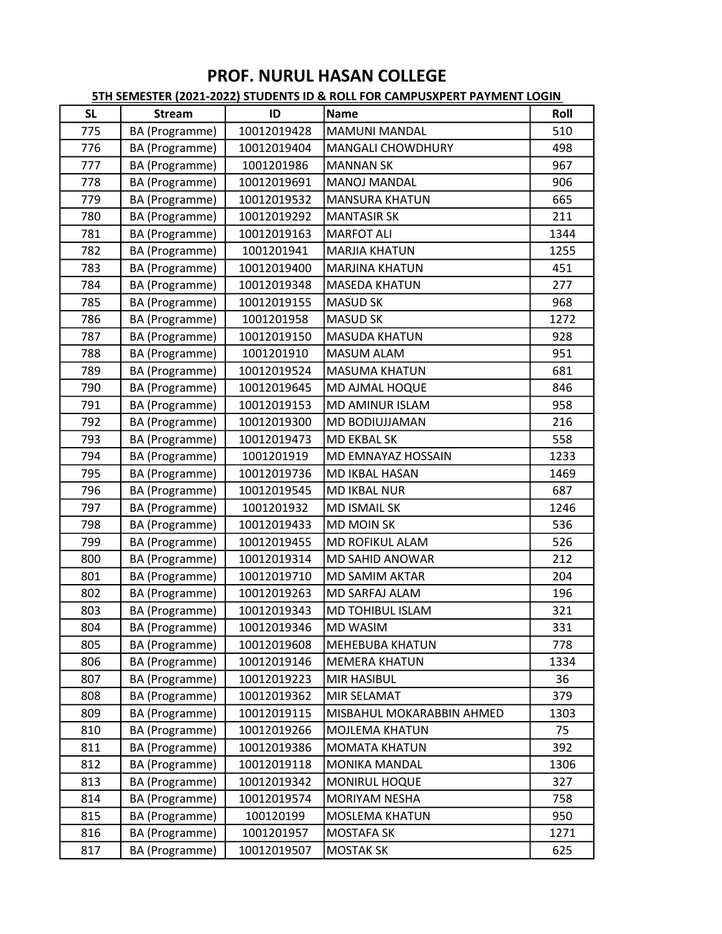| <b>SL</b> | <b>Stream</b>  | ID          | Name                      | Roll |
|-----------|----------------|-------------|---------------------------|------|
| 775       | BA (Programme) | 10012019428 | <b>MAMUNI MANDAL</b>      | 510  |
| 776       | BA (Programme) | 10012019404 | <b>MANGALI CHOWDHURY</b>  | 498  |
| 777       | BA (Programme) | 1001201986  | <b>MANNAN SK</b>          | 967  |
| 778       | BA (Programme) | 10012019691 | <b>MANOJ MANDAL</b>       | 906  |
| 779       | BA (Programme) | 10012019532 | <b>MANSURA KHATUN</b>     | 665  |
| 780       | BA (Programme) | 10012019292 | <b>MANTASIR SK</b>        | 211  |
| 781       | BA (Programme) | 10012019163 | <b>MARFOT ALI</b>         | 1344 |
| 782       | BA (Programme) | 1001201941  | <b>MARJIA KHATUN</b>      | 1255 |
| 783       | BA (Programme) | 10012019400 | <b>MARJINA KHATUN</b>     | 451  |
| 784       | BA (Programme) | 10012019348 | <b>MASEDA KHATUN</b>      | 277  |
| 785       | BA (Programme) | 10012019155 | <b>MASUD SK</b>           | 968  |
| 786       | BA (Programme) | 1001201958  | <b>MASUD SK</b>           | 1272 |
| 787       | BA (Programme) | 10012019150 | <b>MASUDA KHATUN</b>      | 928  |
| 788       | BA (Programme) | 1001201910  | <b>MASUM ALAM</b>         | 951  |
| 789       | BA (Programme) | 10012019524 | <b>MASUMA KHATUN</b>      | 681  |
| 790       | BA (Programme) | 10012019645 | MD AJMAL HOQUE            | 846  |
| 791       | BA (Programme) | 10012019153 | <b>MD AMINUR ISLAM</b>    | 958  |
| 792       | BA (Programme) | 10012019300 | <b>MD BODIUJJAMAN</b>     | 216  |
| 793       | BA (Programme) | 10012019473 | <b>MD EKBAL SK</b>        | 558  |
| 794       | BA (Programme) | 1001201919  | MD EMNAYAZ HOSSAIN        | 1233 |
| 795       | BA (Programme) | 10012019736 | MD IKBAL HASAN            | 1469 |
| 796       | BA (Programme) | 10012019545 | <b>MD IKBAL NUR</b>       | 687  |
| 797       | BA (Programme) | 1001201932  | <b>MD ISMAIL SK</b>       | 1246 |
| 798       | BA (Programme) | 10012019433 | <b>MD MOIN SK</b>         | 536  |
| 799       | BA (Programme) | 10012019455 | <b>MD ROFIKUL ALAM</b>    | 526  |
| 800       | BA (Programme) | 10012019314 | <b>MD SAHID ANOWAR</b>    | 212  |
| 801       | BA (Programme) | 10012019710 | <b>MD SAMIM AKTAR</b>     | 204  |
| 802       | BA (Programme) | 10012019263 | MD SARFAJ ALAM            | 196  |
| 803       | BA (Programme) | 10012019343 | <b>MD TOHIBUL ISLAM</b>   | 321  |
| 804       | BA (Programme) | 10012019346 | <b>MD WASIM</b>           | 331  |
| 805       | BA (Programme) | 10012019608 | <b>MEHEBUBA KHATUN</b>    | 778  |
| 806       | BA (Programme) | 10012019146 | <b>MEMERA KHATUN</b>      | 1334 |
| 807       | BA (Programme) | 10012019223 | <b>MIR HASIBUL</b>        | 36   |
| 808       | BA (Programme) | 10012019362 | <b>MIR SELAMAT</b>        | 379  |
| 809       | BA (Programme) | 10012019115 | MISBAHUL MOKARABBIN AHMED | 1303 |
| 810       | BA (Programme) | 10012019266 | <b>MOJLEMA KHATUN</b>     | 75   |
| 811       | BA (Programme) | 10012019386 | <b>MOMATA KHATUN</b>      | 392  |
| 812       | BA (Programme) | 10012019118 | <b>MONIKA MANDAL</b>      | 1306 |
| 813       | BA (Programme) | 10012019342 | <b>MONIRUL HOQUE</b>      | 327  |
| 814       | BA (Programme) | 10012019574 | <b>MORIYAM NESHA</b>      | 758  |
| 815       | BA (Programme) | 100120199   | <b>MOSLEMA KHATUN</b>     | 950  |
| 816       | BA (Programme) | 1001201957  | <b>MOSTAFA SK</b>         | 1271 |
| 817       | BA (Programme) | 10012019507 | <b>MOSTAK SK</b>          | 625  |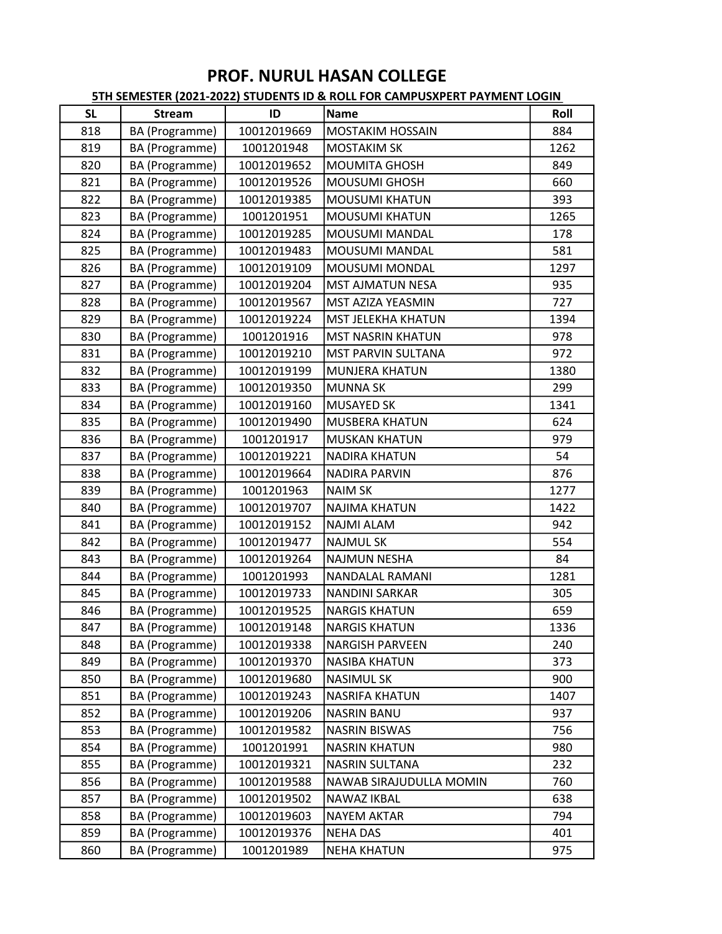| <b>SL</b> | <b>Stream</b>  | ID          | <b>Name</b>               | Roll |
|-----------|----------------|-------------|---------------------------|------|
| 818       | BA (Programme) | 10012019669 | <b>MOSTAKIM HOSSAIN</b>   | 884  |
| 819       | BA (Programme) | 1001201948  | <b>MOSTAKIM SK</b>        | 1262 |
| 820       | BA (Programme) | 10012019652 | <b>MOUMITA GHOSH</b>      | 849  |
| 821       | BA (Programme) | 10012019526 | <b>MOUSUMI GHOSH</b>      | 660  |
| 822       | BA (Programme) | 10012019385 | <b>MOUSUMI KHATUN</b>     | 393  |
| 823       | BA (Programme) | 1001201951  | <b>MOUSUMI KHATUN</b>     | 1265 |
| 824       | BA (Programme) | 10012019285 | MOUSUMI MANDAL            | 178  |
| 825       | BA (Programme) | 10012019483 | <b>MOUSUMI MANDAL</b>     | 581  |
| 826       | BA (Programme) | 10012019109 | MOUSUMI MONDAL            | 1297 |
| 827       | BA (Programme) | 10012019204 | <b>MST AJMATUN NESA</b>   | 935  |
| 828       | BA (Programme) | 10012019567 | MST AZIZA YEASMIN         | 727  |
| 829       | BA (Programme) | 10012019224 | <b>MST JELEKHA KHATUN</b> | 1394 |
| 830       | BA (Programme) | 1001201916  | <b>MST NASRIN KHATUN</b>  | 978  |
| 831       | BA (Programme) | 10012019210 | <b>MST PARVIN SULTANA</b> | 972  |
| 832       | BA (Programme) | 10012019199 | <b>MUNJERA KHATUN</b>     | 1380 |
| 833       | BA (Programme) | 10012019350 | <b>MUNNA SK</b>           | 299  |
| 834       | BA (Programme) | 10012019160 | <b>MUSAYED SK</b>         | 1341 |
| 835       | BA (Programme) | 10012019490 | <b>MUSBERA KHATUN</b>     | 624  |
| 836       | BA (Programme) | 1001201917  | <b>MUSKAN KHATUN</b>      | 979  |
| 837       | BA (Programme) | 10012019221 | <b>NADIRA KHATUN</b>      | 54   |
| 838       | BA (Programme) | 10012019664 | <b>NADIRA PARVIN</b>      | 876  |
| 839       | BA (Programme) | 1001201963  | <b>NAIM SK</b>            | 1277 |
| 840       | BA (Programme) | 10012019707 | <b>NAJIMA KHATUN</b>      | 1422 |
| 841       | BA (Programme) | 10012019152 | <b>NAJMI ALAM</b>         | 942  |
| 842       | BA (Programme) | 10012019477 | <b>NAJMUL SK</b>          | 554  |
| 843       | BA (Programme) | 10012019264 | <b>NAJMUN NESHA</b>       | 84   |
| 844       | BA (Programme) | 1001201993  | <b>NANDALAL RAMANI</b>    | 1281 |
| 845       | BA (Programme) | 10012019733 | <b>NANDINI SARKAR</b>     | 305  |
| 846       | BA (Programme) | 10012019525 | <b>NARGIS KHATUN</b>      | 659  |
| 847       | BA (Programme) | 10012019148 | <b>NARGIS KHATUN</b>      | 1336 |
| 848       | BA (Programme) | 10012019338 | <b>NARGISH PARVEEN</b>    | 240  |
| 849       | BA (Programme) | 10012019370 | <b>NASIBA KHATUN</b>      | 373  |
| 850       | BA (Programme) | 10012019680 | <b>NASIMUL SK</b>         | 900  |
| 851       | BA (Programme) | 10012019243 | <b>NASRIFA KHATUN</b>     | 1407 |
| 852       | BA (Programme) | 10012019206 | <b>NASRIN BANU</b>        | 937  |
| 853       | BA (Programme) | 10012019582 | <b>NASRIN BISWAS</b>      | 756  |
| 854       | BA (Programme) | 1001201991  | <b>NASRIN KHATUN</b>      | 980  |
| 855       | BA (Programme) | 10012019321 | <b>NASRIN SULTANA</b>     | 232  |
| 856       | BA (Programme) | 10012019588 | NAWAB SIRAJUDULLA MOMIN   | 760  |
| 857       | BA (Programme) | 10012019502 | NAWAZ IKBAL               | 638  |
| 858       | BA (Programme) | 10012019603 | <b>NAYEM AKTAR</b>        | 794  |
| 859       | BA (Programme) | 10012019376 | <b>NEHA DAS</b>           | 401  |
| 860       | BA (Programme) | 1001201989  | <b>NEHA KHATUN</b>        | 975  |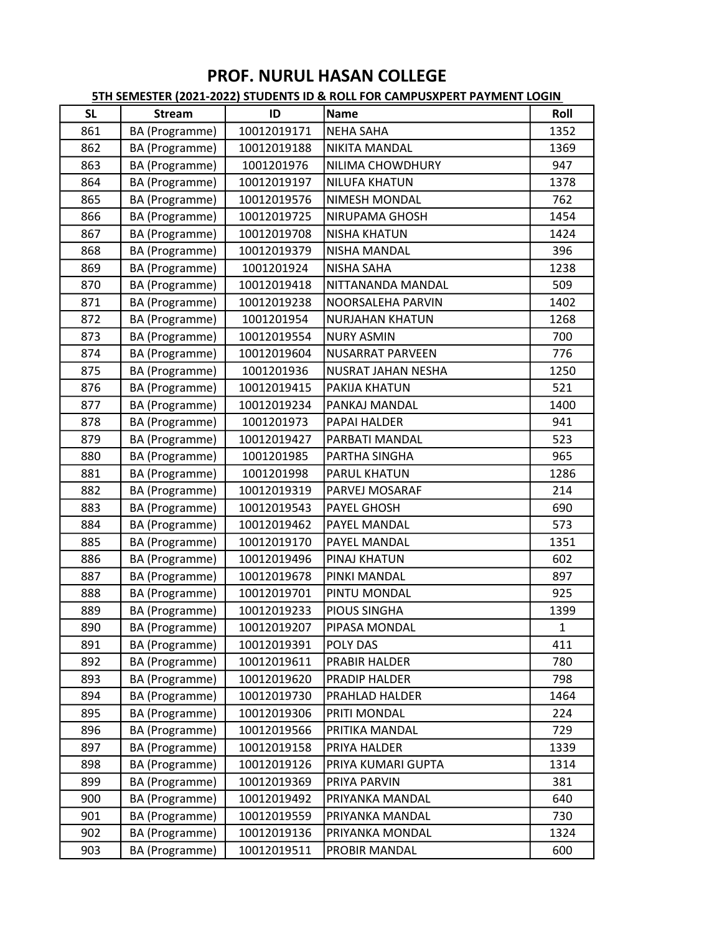| <b>SL</b> | <b>Stream</b>  | ID          | Name                    | Roll |
|-----------|----------------|-------------|-------------------------|------|
| 861       | BA (Programme) | 10012019171 | <b>NEHA SAHA</b>        | 1352 |
| 862       | BA (Programme) | 10012019188 | <b>NIKITA MANDAL</b>    | 1369 |
| 863       | BA (Programme) | 1001201976  | NILIMA CHOWDHURY        | 947  |
| 864       | BA (Programme) | 10012019197 | <b>NILUFA KHATUN</b>    | 1378 |
| 865       | BA (Programme) | 10012019576 | <b>NIMESH MONDAL</b>    | 762  |
| 866       | BA (Programme) | 10012019725 | <b>NIRUPAMA GHOSH</b>   | 1454 |
| 867       | BA (Programme) | 10012019708 | <b>NISHA KHATUN</b>     | 1424 |
| 868       | BA (Programme) | 10012019379 | <b>NISHA MANDAL</b>     | 396  |
| 869       | BA (Programme) | 1001201924  | <b>NISHA SAHA</b>       | 1238 |
| 870       | BA (Programme) | 10012019418 | NITTANANDA MANDAL       | 509  |
| 871       | BA (Programme) | 10012019238 | NOORSALEHA PARVIN       | 1402 |
| 872       | BA (Programme) | 1001201954  | <b>NURJAHAN KHATUN</b>  | 1268 |
| 873       | BA (Programme) | 10012019554 | <b>NURY ASMIN</b>       | 700  |
| 874       | BA (Programme) | 10012019604 | <b>NUSARRAT PARVEEN</b> | 776  |
| 875       | BA (Programme) | 1001201936  | NUSRAT JAHAN NESHA      | 1250 |
| 876       | BA (Programme) | 10012019415 | <b>PAKIJA KHATUN</b>    | 521  |
| 877       | BA (Programme) | 10012019234 | PANKAJ MANDAL           | 1400 |
| 878       | BA (Programme) | 1001201973  | <b>PAPAI HALDER</b>     | 941  |
| 879       | BA (Programme) | 10012019427 | PARBATI MANDAL          | 523  |
| 880       | BA (Programme) | 1001201985  | PARTHA SINGHA           | 965  |
| 881       | BA (Programme) | 1001201998  | <b>PARUL KHATUN</b>     | 1286 |
| 882       | BA (Programme) | 10012019319 | PARVEJ MOSARAF          | 214  |
| 883       | BA (Programme) | 10012019543 | <b>PAYEL GHOSH</b>      | 690  |
| 884       | BA (Programme) | 10012019462 | <b>PAYEL MANDAL</b>     | 573  |
| 885       | BA (Programme) | 10012019170 | <b>PAYEL MANDAL</b>     | 1351 |
| 886       | BA (Programme) | 10012019496 | PINAJ KHATUN            | 602  |
| 887       | BA (Programme) | 10012019678 | PINKI MANDAL            | 897  |
| 888       | BA (Programme) | 10012019701 | PINTU MONDAL            | 925  |
| 889       | BA (Programme) | 10012019233 | <b>PIOUS SINGHA</b>     | 1399 |
| 890       | BA (Programme) | 10012019207 | PIPASA MONDAL           | 1    |
| 891       | BA (Programme) | 10012019391 | POLY DAS                | 411  |
| 892       | BA (Programme) | 10012019611 | <b>PRABIR HALDER</b>    | 780  |
| 893       | BA (Programme) | 10012019620 | <b>PRADIP HALDER</b>    | 798  |
| 894       | BA (Programme) | 10012019730 | PRAHLAD HALDER          | 1464 |
| 895       | BA (Programme) | 10012019306 | PRITI MONDAL            | 224  |
| 896       | BA (Programme) | 10012019566 | PRITIKA MANDAL          | 729  |
| 897       | BA (Programme) | 10012019158 | PRIYA HALDER            | 1339 |
| 898       | BA (Programme) | 10012019126 | PRIYA KUMARI GUPTA      | 1314 |
| 899       | BA (Programme) | 10012019369 | PRIYA PARVIN            | 381  |
| 900       | BA (Programme) | 10012019492 | PRIYANKA MANDAL         | 640  |
| 901       | BA (Programme) | 10012019559 | PRIYANKA MANDAL         | 730  |
| 902       | BA (Programme) | 10012019136 | PRIYANKA MONDAL         | 1324 |
| 903       | BA (Programme) | 10012019511 | PROBIR MANDAL           | 600  |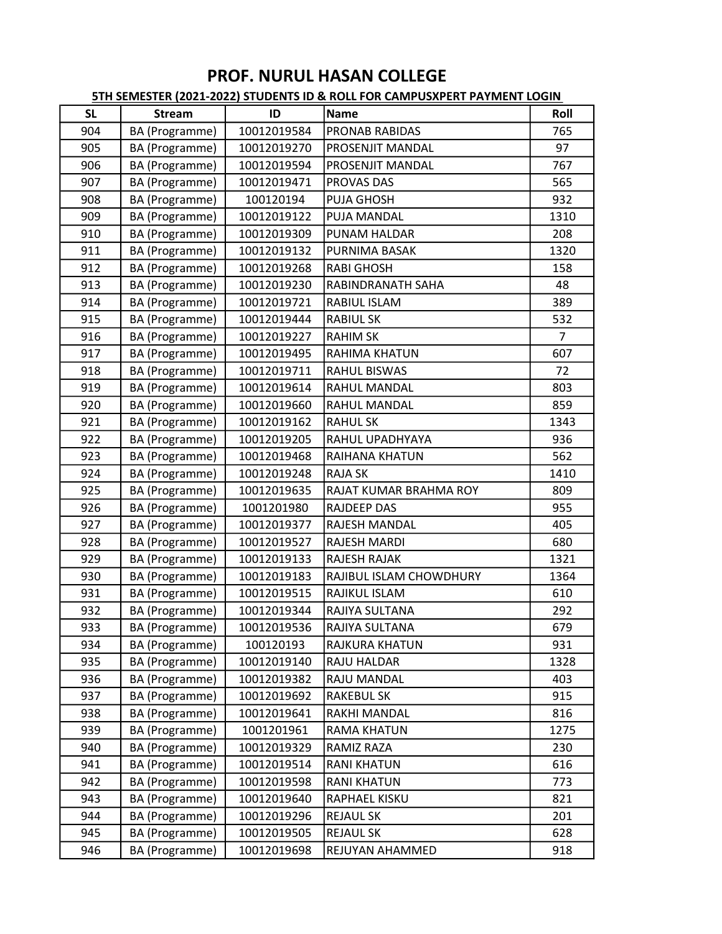| <b>SL</b> | <b>Stream</b>  | ID          | <b>Name</b>             | Roll           |
|-----------|----------------|-------------|-------------------------|----------------|
| 904       | BA (Programme) | 10012019584 | PRONAB RABIDAS          | 765            |
| 905       | BA (Programme) | 10012019270 | PROSENJIT MANDAL        | 97             |
| 906       | BA (Programme) | 10012019594 | <b>PROSENJIT MANDAL</b> | 767            |
| 907       | BA (Programme) | 10012019471 | PROVAS DAS              | 565            |
| 908       | BA (Programme) | 100120194   | PUJA GHOSH              | 932            |
| 909       | BA (Programme) | 10012019122 | PUJA MANDAL             | 1310           |
| 910       | BA (Programme) | 10012019309 | PUNAM HALDAR            | 208            |
| 911       | BA (Programme) | 10012019132 | PURNIMA BASAK           | 1320           |
| 912       | BA (Programme) | 10012019268 | <b>RABI GHOSH</b>       | 158            |
| 913       | BA (Programme) | 10012019230 | RABINDRANATH SAHA       | 48             |
| 914       | BA (Programme) | 10012019721 | RABIUL ISLAM            | 389            |
| 915       | BA (Programme) | 10012019444 | <b>RABIUL SK</b>        | 532            |
| 916       | BA (Programme) | 10012019227 | <b>RAHIM SK</b>         | $\overline{7}$ |
| 917       | BA (Programme) | 10012019495 | RAHIMA KHATUN           | 607            |
| 918       | BA (Programme) | 10012019711 | <b>RAHUL BISWAS</b>     | 72             |
| 919       | BA (Programme) | 10012019614 | RAHUL MANDAL            | 803            |
| 920       | BA (Programme) | 10012019660 | <b>RAHUL MANDAL</b>     | 859            |
| 921       | BA (Programme) | 10012019162 | <b>RAHUL SK</b>         | 1343           |
| 922       | BA (Programme) | 10012019205 | RAHUL UPADHYAYA         | 936            |
| 923       | BA (Programme) | 10012019468 | RAIHANA KHATUN          | 562            |
| 924       | BA (Programme) | 10012019248 | <b>RAJA SK</b>          | 1410           |
| 925       | BA (Programme) | 10012019635 | RAJAT KUMAR BRAHMA ROY  | 809            |
| 926       | BA (Programme) | 1001201980  | <b>RAJDEEP DAS</b>      | 955            |
| 927       | BA (Programme) | 10012019377 | <b>RAJESH MANDAL</b>    | 405            |
| 928       | BA (Programme) | 10012019527 | RAJESH MARDI            | 680            |
| 929       | BA (Programme) | 10012019133 | RAJESH RAJAK            | 1321           |
| 930       | BA (Programme) | 10012019183 | RAJIBUL ISLAM CHOWDHURY | 1364           |
| 931       | BA (Programme) | 10012019515 | RAJIKUL ISLAM           | 610            |
| 932       | BA (Programme) | 10012019344 | RAJIYA SULTANA          | 292            |
| 933       | BA (Programme) | 10012019536 | RAJIYA SULTANA          | 679            |
| 934       | BA (Programme) | 100120193   | RAJKURA KHATUN          | 931            |
| 935       | BA (Programme) | 10012019140 | RAJU HALDAR             | 1328           |
| 936       | BA (Programme) | 10012019382 | RAJU MANDAL             | 403            |
| 937       | BA (Programme) | 10012019692 | <b>RAKEBUL SK</b>       | 915            |
| 938       | BA (Programme) | 10012019641 | RAKHI MANDAL            | 816            |
| 939       | BA (Programme) | 1001201961  | <b>RAMA KHATUN</b>      | 1275           |
| 940       | BA (Programme) | 10012019329 | RAMIZ RAZA              | 230            |
| 941       | BA (Programme) | 10012019514 | <b>RANI KHATUN</b>      | 616            |
| 942       | BA (Programme) | 10012019598 | <b>RANI KHATUN</b>      | 773            |
| 943       | BA (Programme) | 10012019640 | RAPHAEL KISKU           | 821            |
| 944       | BA (Programme) | 10012019296 | <b>REJAUL SK</b>        | 201            |
| 945       | BA (Programme) | 10012019505 | <b>REJAUL SK</b>        | 628            |
| 946       | BA (Programme) | 10012019698 | REJUYAN AHAMMED         | 918            |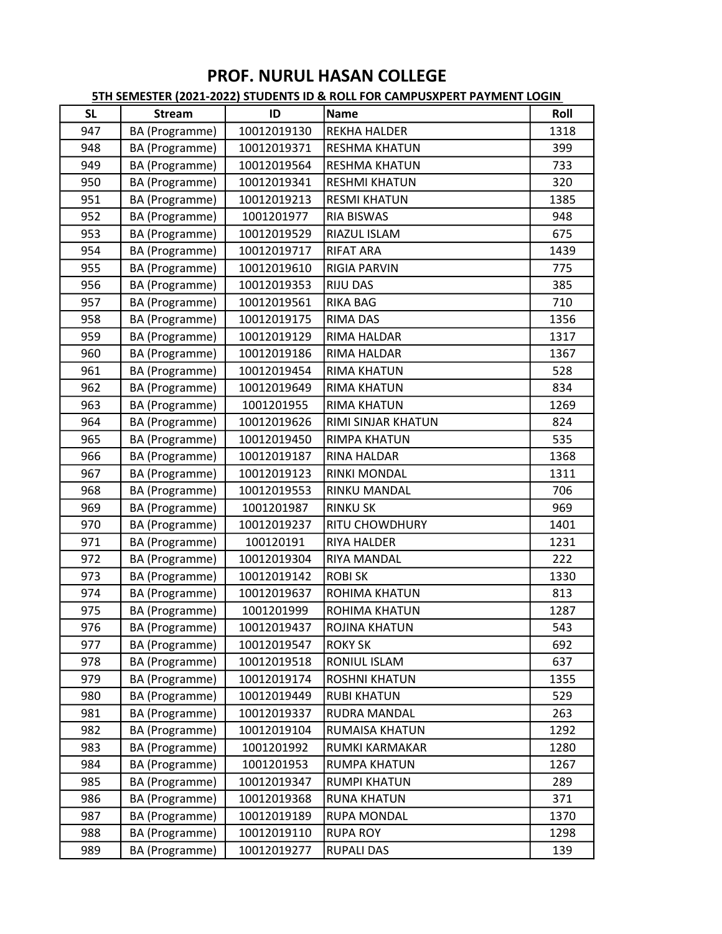| <b>SL</b> | <b>Stream</b>  | ID          | Name                  | Roll |
|-----------|----------------|-------------|-----------------------|------|
| 947       | BA (Programme) | 10012019130 | <b>REKHA HALDER</b>   | 1318 |
| 948       | BA (Programme) | 10012019371 | <b>RESHMA KHATUN</b>  | 399  |
| 949       | BA (Programme) | 10012019564 | <b>RESHMA KHATUN</b>  | 733  |
| 950       | BA (Programme) | 10012019341 | <b>RESHMI KHATUN</b>  | 320  |
| 951       | BA (Programme) | 10012019213 | <b>RESMI KHATUN</b>   | 1385 |
| 952       | BA (Programme) | 1001201977  | <b>RIA BISWAS</b>     | 948  |
| 953       | BA (Programme) | 10012019529 | RIAZUL ISLAM          | 675  |
| 954       | BA (Programme) | 10012019717 | <b>RIFAT ARA</b>      | 1439 |
| 955       | BA (Programme) | 10012019610 | <b>RIGIA PARVIN</b>   | 775  |
| 956       | BA (Programme) | 10012019353 | <b>RIJU DAS</b>       | 385  |
| 957       | BA (Programme) | 10012019561 | <b>RIKA BAG</b>       | 710  |
| 958       | BA (Programme) | 10012019175 | <b>RIMA DAS</b>       | 1356 |
| 959       | BA (Programme) | 10012019129 | <b>RIMA HALDAR</b>    | 1317 |
| 960       | BA (Programme) | 10012019186 | RIMA HALDAR           | 1367 |
| 961       | BA (Programme) | 10012019454 | <b>RIMA KHATUN</b>    | 528  |
| 962       | BA (Programme) | 10012019649 | <b>RIMA KHATUN</b>    | 834  |
| 963       | BA (Programme) | 1001201955  | <b>RIMA KHATUN</b>    | 1269 |
| 964       | BA (Programme) | 10012019626 | RIMI SINJAR KHATUN    | 824  |
| 965       | BA (Programme) | 10012019450 | <b>RIMPA KHATUN</b>   | 535  |
| 966       | BA (Programme) | 10012019187 | <b>RINA HALDAR</b>    | 1368 |
| 967       | BA (Programme) | 10012019123 | <b>RINKI MONDAL</b>   | 1311 |
| 968       | BA (Programme) | 10012019553 | <b>RINKU MANDAL</b>   | 706  |
| 969       | BA (Programme) | 1001201987  | <b>RINKU SK</b>       | 969  |
| 970       | BA (Programme) | 10012019237 | <b>RITU CHOWDHURY</b> | 1401 |
| 971       | BA (Programme) | 100120191   | <b>RIYA HALDER</b>    | 1231 |
| 972       | BA (Programme) | 10012019304 | <b>RIYA MANDAL</b>    | 222  |
| 973       | BA (Programme) | 10012019142 | <b>ROBI SK</b>        | 1330 |
| 974       | BA (Programme) | 10012019637 | ROHIMA KHATUN         | 813  |
| 975       | BA (Programme) | 1001201999  | <b>ROHIMA KHATUN</b>  | 1287 |
| 976       | BA (Programme) | 10012019437 | <b>ROJINA KHATUN</b>  | 543  |
| 977       | BA (Programme) | 10012019547 | <b>ROKY SK</b>        | 692  |
| 978       | BA (Programme) | 10012019518 | <b>RONIUL ISLAM</b>   | 637  |
| 979       | BA (Programme) | 10012019174 | <b>ROSHNI KHATUN</b>  | 1355 |
| 980       | BA (Programme) | 10012019449 | <b>RUBI KHATUN</b>    | 529  |
| 981       | BA (Programme) | 10012019337 | <b>RUDRA MANDAL</b>   | 263  |
| 982       | BA (Programme) | 10012019104 | RUMAISA KHATUN        | 1292 |
| 983       | BA (Programme) | 1001201992  | RUMKI KARMAKAR        | 1280 |
| 984       | BA (Programme) | 1001201953  | <b>RUMPA KHATUN</b>   | 1267 |
| 985       | BA (Programme) | 10012019347 | <b>RUMPI KHATUN</b>   | 289  |
| 986       | BA (Programme) | 10012019368 | <b>RUNA KHATUN</b>    | 371  |
| 987       | BA (Programme) | 10012019189 | <b>RUPA MONDAL</b>    | 1370 |
| 988       | BA (Programme) | 10012019110 | <b>RUPA ROY</b>       | 1298 |
| 989       | BA (Programme) | 10012019277 | <b>RUPALI DAS</b>     | 139  |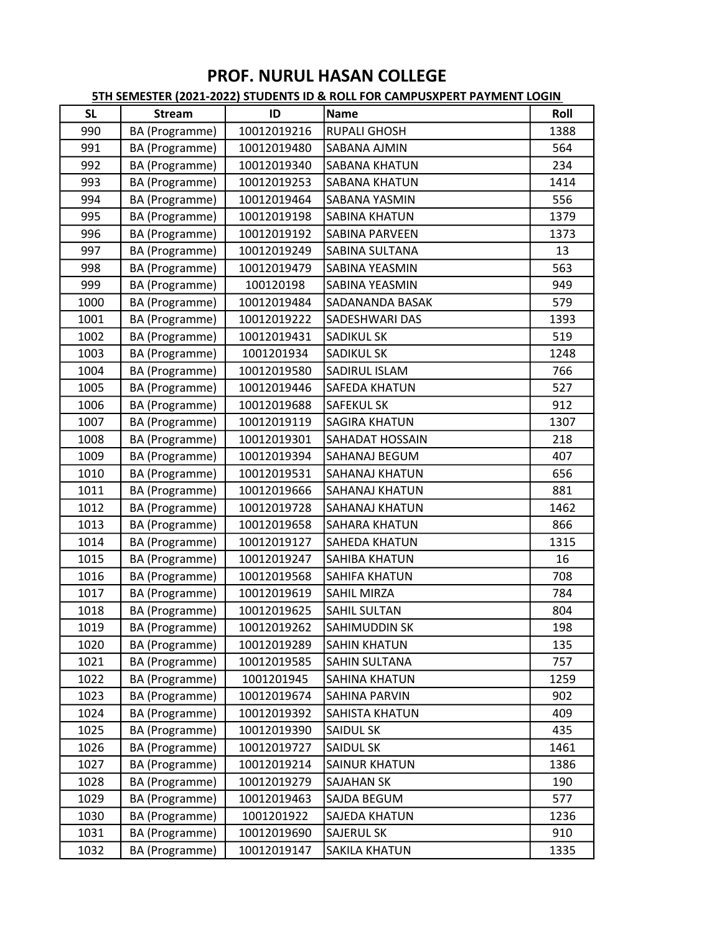| <b>SL</b> | <b>Stream</b>  | ID          | Name                   | Roll |
|-----------|----------------|-------------|------------------------|------|
| 990       | BA (Programme) | 10012019216 | <b>RUPALI GHOSH</b>    | 1388 |
| 991       | BA (Programme) | 10012019480 | <b>SABANA AJMIN</b>    | 564  |
| 992       | BA (Programme) | 10012019340 | <b>SABANA KHATUN</b>   | 234  |
| 993       | BA (Programme) | 10012019253 | <b>SABANA KHATUN</b>   | 1414 |
| 994       | BA (Programme) | 10012019464 | <b>SABANA YASMIN</b>   | 556  |
| 995       | BA (Programme) | 10012019198 | <b>SABINA KHATUN</b>   | 1379 |
| 996       | BA (Programme) | 10012019192 | <b>SABINA PARVEEN</b>  | 1373 |
| 997       | BA (Programme) | 10012019249 | <b>SABINA SULTANA</b>  | 13   |
| 998       | BA (Programme) | 10012019479 | <b>SABINA YEASMIN</b>  | 563  |
| 999       | BA (Programme) | 100120198   | SABINA YEASMIN         | 949  |
| 1000      | BA (Programme) | 10012019484 | SADANANDA BASAK        | 579  |
| 1001      | BA (Programme) | 10012019222 | <b>SADESHWARI DAS</b>  | 1393 |
| 1002      | BA (Programme) | 10012019431 | <b>SADIKUL SK</b>      | 519  |
| 1003      | BA (Programme) | 1001201934  | <b>SADIKUL SK</b>      | 1248 |
| 1004      | BA (Programme) | 10012019580 | <b>SADIRUL ISLAM</b>   | 766  |
| 1005      | BA (Programme) | 10012019446 | <b>SAFEDA KHATUN</b>   | 527  |
| 1006      | BA (Programme) | 10012019688 | <b>SAFEKUL SK</b>      | 912  |
| 1007      | BA (Programme) | 10012019119 | <b>SAGIRA KHATUN</b>   | 1307 |
| 1008      | BA (Programme) | 10012019301 | <b>SAHADAT HOSSAIN</b> | 218  |
| 1009      | BA (Programme) | 10012019394 | SAHANAJ BEGUM          | 407  |
| 1010      | BA (Programme) | 10012019531 | <b>SAHANAJ KHATUN</b>  | 656  |
| 1011      | BA (Programme) | 10012019666 | <b>SAHANAJ KHATUN</b>  | 881  |
| 1012      | BA (Programme) | 10012019728 | <b>SAHANAJ KHATUN</b>  | 1462 |
| 1013      | BA (Programme) | 10012019658 | <b>SAHARA KHATUN</b>   | 866  |
| 1014      | BA (Programme) | 10012019127 | SAHEDA KHATUN          | 1315 |
| 1015      | BA (Programme) | 10012019247 | <b>SAHIBA KHATUN</b>   | 16   |
| 1016      | BA (Programme) | 10012019568 | <b>SAHIFA KHATUN</b>   | 708  |
| 1017      | BA (Programme) | 10012019619 | <b>SAHIL MIRZA</b>     | 784  |
| 1018      | BA (Programme) | 10012019625 | <b>SAHIL SULTAN</b>    | 804  |
| 1019      | BA (Programme) | 10012019262 | SAHIMUDDIN SK          | 198  |
| 1020      | BA (Programme) | 10012019289 | <b>SAHIN KHATUN</b>    | 135  |
| 1021      | BA (Programme) | 10012019585 | SAHIN SULTANA          | 757  |
| 1022      | BA (Programme) | 1001201945  | SAHINA KHATUN          | 1259 |
| 1023      | BA (Programme) | 10012019674 | <b>SAHINA PARVIN</b>   | 902  |
| 1024      | BA (Programme) | 10012019392 | SAHISTA KHATUN         | 409  |
| 1025      | BA (Programme) | 10012019390 | <b>SAIDUL SK</b>       | 435  |
| 1026      | BA (Programme) | 10012019727 | <b>SAIDUL SK</b>       | 1461 |
| 1027      | BA (Programme) | 10012019214 | <b>SAINUR KHATUN</b>   | 1386 |
| 1028      | BA (Programme) | 10012019279 | <b>SAJAHAN SK</b>      | 190  |
| 1029      | BA (Programme) | 10012019463 | SAJDA BEGUM            | 577  |
| 1030      | BA (Programme) | 1001201922  | <b>SAJEDA KHATUN</b>   | 1236 |
| 1031      | BA (Programme) | 10012019690 | <b>SAJERUL SK</b>      | 910  |
| 1032      | BA (Programme) | 10012019147 | <b>SAKILA KHATUN</b>   | 1335 |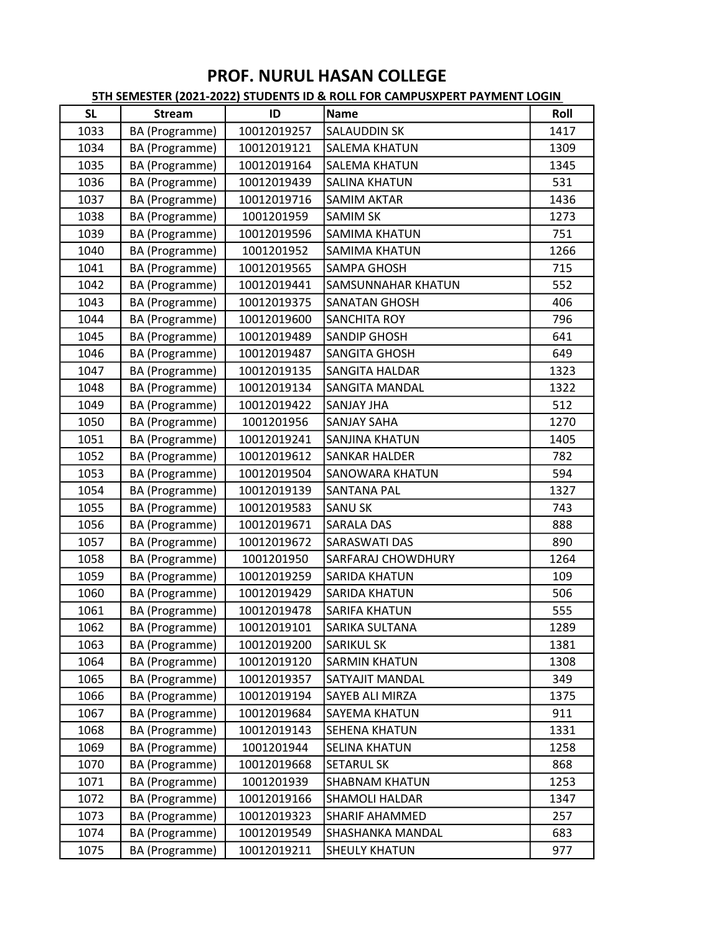| <b>SL</b> | <b>Stream</b>  | ID          | <b>Name</b>               | Roll |
|-----------|----------------|-------------|---------------------------|------|
| 1033      | BA (Programme) | 10012019257 | <b>SALAUDDIN SK</b>       | 1417 |
| 1034      | BA (Programme) | 10012019121 | <b>SALEMA KHATUN</b>      | 1309 |
| 1035      | BA (Programme) | 10012019164 | <b>SALEMA KHATUN</b>      | 1345 |
| 1036      | BA (Programme) | 10012019439 | <b>SALINA KHATUN</b>      | 531  |
| 1037      | BA (Programme) | 10012019716 | <b>SAMIM AKTAR</b>        | 1436 |
| 1038      | BA (Programme) | 1001201959  | <b>SAMIM SK</b>           | 1273 |
| 1039      | BA (Programme) | 10012019596 | <b>SAMIMA KHATUN</b>      | 751  |
| 1040      | BA (Programme) | 1001201952  | <b>SAMIMA KHATUN</b>      | 1266 |
| 1041      | BA (Programme) | 10012019565 | <b>SAMPA GHOSH</b>        | 715  |
| 1042      | BA (Programme) | 10012019441 | <b>SAMSUNNAHAR KHATUN</b> | 552  |
| 1043      | BA (Programme) | 10012019375 | <b>SANATAN GHOSH</b>      | 406  |
| 1044      | BA (Programme) | 10012019600 | <b>SANCHITA ROY</b>       | 796  |
| 1045      | BA (Programme) | 10012019489 | <b>SANDIP GHOSH</b>       | 641  |
| 1046      | BA (Programme) | 10012019487 | SANGITA GHOSH             | 649  |
| 1047      | BA (Programme) | 10012019135 | <b>SANGITA HALDAR</b>     | 1323 |
| 1048      | BA (Programme) | 10012019134 | <b>SANGITA MANDAL</b>     | 1322 |
| 1049      | BA (Programme) | 10012019422 | <b>SANJAY JHA</b>         | 512  |
| 1050      | BA (Programme) | 1001201956  | <b>SANJAY SAHA</b>        | 1270 |
| 1051      | BA (Programme) | 10012019241 | <b>SANJINA KHATUN</b>     | 1405 |
| 1052      | BA (Programme) | 10012019612 | <b>SANKAR HALDER</b>      | 782  |
| 1053      | BA (Programme) | 10012019504 | <b>SANOWARA KHATUN</b>    | 594  |
| 1054      | BA (Programme) | 10012019139 | <b>SANTANA PAL</b>        | 1327 |
| 1055      | BA (Programme) | 10012019583 | <b>SANU SK</b>            | 743  |
| 1056      | BA (Programme) | 10012019671 | <b>SARALA DAS</b>         | 888  |
| 1057      | BA (Programme) | 10012019672 | <b>SARASWATI DAS</b>      | 890  |
| 1058      | BA (Programme) | 1001201950  | <b>SARFARAJ CHOWDHURY</b> | 1264 |
| 1059      | BA (Programme) | 10012019259 | <b>SARIDA KHATUN</b>      | 109  |
| 1060      | BA (Programme) | 10012019429 | <b>SARIDA KHATUN</b>      | 506  |
| 1061      | BA (Programme) | 10012019478 | <b>SARIFA KHATUN</b>      | 555  |
| 1062      | BA (Programme) | 10012019101 | SARIKA SULTANA            | 1289 |
| 1063      | BA (Programme) | 10012019200 | <b>SARIKUL SK</b>         | 1381 |
| 1064      | BA (Programme) | 10012019120 | <b>SARMIN KHATUN</b>      | 1308 |
| 1065      | BA (Programme) | 10012019357 | <b>SATYAJIT MANDAL</b>    | 349  |
| 1066      | BA (Programme) | 10012019194 | SAYEB ALI MIRZA           | 1375 |
| 1067      | BA (Programme) | 10012019684 | SAYEMA KHATUN             | 911  |
| 1068      | BA (Programme) | 10012019143 | <b>SEHENA KHATUN</b>      | 1331 |
| 1069      | BA (Programme) | 1001201944  | <b>SELINA KHATUN</b>      | 1258 |
| 1070      | BA (Programme) | 10012019668 | <b>SETARUL SK</b>         | 868  |
| 1071      | BA (Programme) | 1001201939  | <b>SHABNAM KHATUN</b>     | 1253 |
| 1072      | BA (Programme) | 10012019166 | <b>SHAMOLI HALDAR</b>     | 1347 |
| 1073      | BA (Programme) | 10012019323 | <b>SHARIF AHAMMED</b>     | 257  |
| 1074      | BA (Programme) | 10012019549 | SHASHANKA MANDAL          | 683  |
| 1075      | BA (Programme) | 10012019211 | <b>SHEULY KHATUN</b>      | 977  |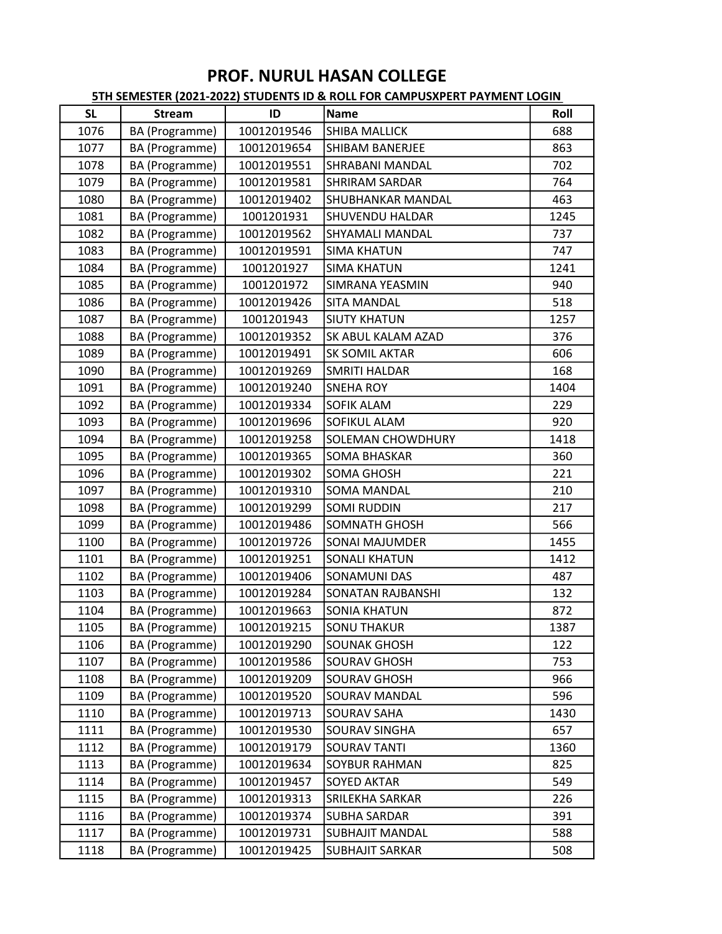| <b>SL</b> | <b>Stream</b>  | ID          | <b>Name</b>              | Roll |
|-----------|----------------|-------------|--------------------------|------|
| 1076      | BA (Programme) | 10012019546 | <b>SHIBA MALLICK</b>     | 688  |
| 1077      | BA (Programme) | 10012019654 | <b>SHIBAM BANERJEE</b>   | 863  |
| 1078      | BA (Programme) | 10012019551 | <b>SHRABANI MANDAL</b>   | 702  |
| 1079      | BA (Programme) | 10012019581 | <b>SHRIRAM SARDAR</b>    | 764  |
| 1080      | BA (Programme) | 10012019402 | <b>SHUBHANKAR MANDAL</b> | 463  |
| 1081      | BA (Programme) | 1001201931  | <b>SHUVENDU HALDAR</b>   | 1245 |
| 1082      | BA (Programme) | 10012019562 | <b>SHYAMALI MANDAL</b>   | 737  |
| 1083      | BA (Programme) | 10012019591 | <b>SIMA KHATUN</b>       | 747  |
| 1084      | BA (Programme) | 1001201927  | <b>SIMA KHATUN</b>       | 1241 |
| 1085      | BA (Programme) | 1001201972  | <b>SIMRANA YEASMIN</b>   | 940  |
| 1086      | BA (Programme) | 10012019426 | <b>SITA MANDAL</b>       | 518  |
| 1087      | BA (Programme) | 1001201943  | <b>SIUTY KHATUN</b>      | 1257 |
| 1088      | BA (Programme) | 10012019352 | SK ABUL KALAM AZAD       | 376  |
| 1089      | BA (Programme) | 10012019491 | <b>SK SOMIL AKTAR</b>    | 606  |
| 1090      | BA (Programme) | 10012019269 | <b>SMRITI HALDAR</b>     | 168  |
| 1091      | BA (Programme) | 10012019240 | <b>SNEHA ROY</b>         | 1404 |
| 1092      | BA (Programme) | 10012019334 | <b>SOFIK ALAM</b>        | 229  |
| 1093      | BA (Programme) | 10012019696 | <b>SOFIKUL ALAM</b>      | 920  |
| 1094      | BA (Programme) | 10012019258 | <b>SOLEMAN CHOWDHURY</b> | 1418 |
| 1095      | BA (Programme) | 10012019365 | <b>SOMA BHASKAR</b>      | 360  |
| 1096      | BA (Programme) | 10012019302 | <b>SOMA GHOSH</b>        | 221  |
| 1097      | BA (Programme) | 10012019310 | <b>SOMA MANDAL</b>       | 210  |
| 1098      | BA (Programme) | 10012019299 | <b>SOMI RUDDIN</b>       | 217  |
| 1099      | BA (Programme) | 10012019486 | <b>SOMNATH GHOSH</b>     | 566  |
| 1100      | BA (Programme) | 10012019726 | <b>SONAI MAJUMDER</b>    | 1455 |
| 1101      | BA (Programme) | 10012019251 | <b>SONALI KHATUN</b>     | 1412 |
| 1102      | BA (Programme) | 10012019406 | <b>SONAMUNI DAS</b>      | 487  |
| 1103      | BA (Programme) | 10012019284 | <b>SONATAN RAJBANSHI</b> | 132  |
| 1104      | BA (Programme) | 10012019663 | <b>SONIA KHATUN</b>      | 872  |
| 1105      | BA (Programme) | 10012019215 | <b>SONU THAKUR</b>       | 1387 |
| 1106      | BA (Programme) | 10012019290 | <b>SOUNAK GHOSH</b>      | 122  |
| 1107      | BA (Programme) | 10012019586 | <b>SOURAV GHOSH</b>      | 753  |
| 1108      | BA (Programme) | 10012019209 | <b>SOURAV GHOSH</b>      | 966  |
| 1109      | BA (Programme) | 10012019520 | <b>SOURAV MANDAL</b>     | 596  |
| 1110      | BA (Programme) | 10012019713 | <b>SOURAV SAHA</b>       | 1430 |
| 1111      | BA (Programme) | 10012019530 | <b>SOURAV SINGHA</b>     | 657  |
| 1112      | BA (Programme) | 10012019179 | <b>SOURAV TANTI</b>      | 1360 |
| 1113      | BA (Programme) | 10012019634 | <b>SOYBUR RAHMAN</b>     | 825  |
| 1114      | BA (Programme) | 10012019457 | <b>SOYED AKTAR</b>       | 549  |
| 1115      | BA (Programme) | 10012019313 | SRILEKHA SARKAR          | 226  |
| 1116      | BA (Programme) | 10012019374 | <b>SUBHA SARDAR</b>      | 391  |
| 1117      | BA (Programme) | 10012019731 | <b>SUBHAJIT MANDAL</b>   | 588  |
| 1118      | BA (Programme) | 10012019425 | <b>SUBHAJIT SARKAR</b>   | 508  |
|           |                |             |                          |      |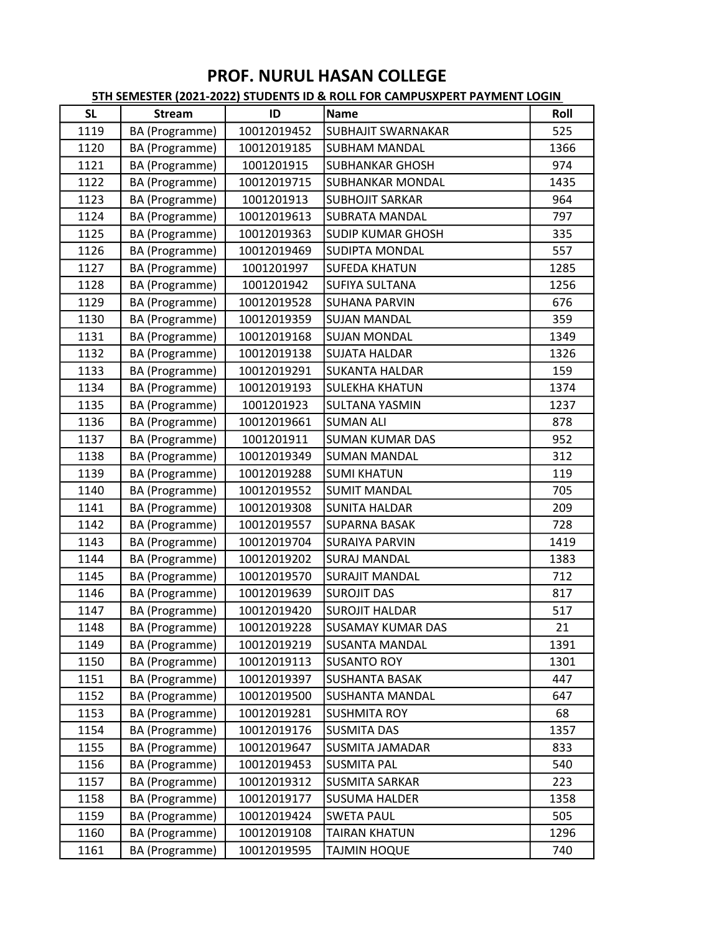| <b>SL</b> | <b>Stream</b>  | ID          | Name                      | Roll |
|-----------|----------------|-------------|---------------------------|------|
| 1119      | BA (Programme) | 10012019452 | <b>SUBHAJIT SWARNAKAR</b> | 525  |
| 1120      | BA (Programme) | 10012019185 | <b>SUBHAM MANDAL</b>      | 1366 |
| 1121      | BA (Programme) | 1001201915  | <b>SUBHANKAR GHOSH</b>    | 974  |
| 1122      | BA (Programme) | 10012019715 | <b>SUBHANKAR MONDAL</b>   | 1435 |
| 1123      | BA (Programme) | 1001201913  | <b>SUBHOJIT SARKAR</b>    | 964  |
| 1124      | BA (Programme) | 10012019613 | <b>SUBRATA MANDAL</b>     | 797  |
| 1125      | BA (Programme) | 10012019363 | <b>SUDIP KUMAR GHOSH</b>  | 335  |
| 1126      | BA (Programme) | 10012019469 | <b>SUDIPTA MONDAL</b>     | 557  |
| 1127      | BA (Programme) | 1001201997  | <b>SUFEDA KHATUN</b>      | 1285 |
| 1128      | BA (Programme) | 1001201942  | <b>SUFIYA SULTANA</b>     | 1256 |
| 1129      | BA (Programme) | 10012019528 | <b>SUHANA PARVIN</b>      | 676  |
| 1130      | BA (Programme) | 10012019359 | <b>SUJAN MANDAL</b>       | 359  |
| 1131      | BA (Programme) | 10012019168 | <b>SUJAN MONDAL</b>       | 1349 |
| 1132      | BA (Programme) | 10012019138 | <b>SUJATA HALDAR</b>      | 1326 |
| 1133      | BA (Programme) | 10012019291 | <b>SUKANTA HALDAR</b>     | 159  |
| 1134      | BA (Programme) | 10012019193 | <b>SULEKHA KHATUN</b>     | 1374 |
| 1135      | BA (Programme) | 1001201923  | <b>SULTANA YASMIN</b>     | 1237 |
| 1136      | BA (Programme) | 10012019661 | <b>SUMAN ALI</b>          | 878  |
| 1137      | BA (Programme) | 1001201911  | <b>SUMAN KUMAR DAS</b>    | 952  |
| 1138      | BA (Programme) | 10012019349 | <b>SUMAN MANDAL</b>       | 312  |
| 1139      | BA (Programme) | 10012019288 | <b>SUMI KHATUN</b>        | 119  |
| 1140      | BA (Programme) | 10012019552 | <b>SUMIT MANDAL</b>       | 705  |
| 1141      | BA (Programme) | 10012019308 | <b>SUNITA HALDAR</b>      | 209  |
| 1142      | BA (Programme) | 10012019557 | <b>SUPARNA BASAK</b>      | 728  |
| 1143      | BA (Programme) | 10012019704 | <b>SURAIYA PARVIN</b>     | 1419 |
| 1144      | BA (Programme) | 10012019202 | <b>SURAJ MANDAL</b>       | 1383 |
| 1145      | BA (Programme) | 10012019570 | <b>SURAJIT MANDAL</b>     | 712  |
| 1146      | BA (Programme) | 10012019639 | <b>SUROJIT DAS</b>        | 817  |
| 1147      | BA (Programme) | 10012019420 | <b>SUROJIT HALDAR</b>     | 517  |
| 1148      | BA (Programme) | 10012019228 | <b>SUSAMAY KUMAR DAS</b>  | 21   |
| 1149      | BA (Programme) | 10012019219 | <b>SUSANTA MANDAL</b>     | 1391 |
| 1150      | BA (Programme) | 10012019113 | <b>SUSANTO ROY</b>        | 1301 |
| 1151      | BA (Programme) | 10012019397 | <b>SUSHANTA BASAK</b>     | 447  |
| 1152      | BA (Programme) | 10012019500 | <b>SUSHANTA MANDAL</b>    | 647  |
| 1153      | BA (Programme) | 10012019281 | <b>SUSHMITA ROY</b>       | 68   |
| 1154      | BA (Programme) | 10012019176 | <b>SUSMITA DAS</b>        | 1357 |
| 1155      | BA (Programme) | 10012019647 | <b>SUSMITA JAMADAR</b>    | 833  |
| 1156      | BA (Programme) | 10012019453 | <b>SUSMITA PAL</b>        | 540  |
| 1157      | BA (Programme) | 10012019312 | <b>SUSMITA SARKAR</b>     | 223  |
| 1158      | BA (Programme) | 10012019177 | <b>SUSUMA HALDER</b>      | 1358 |
| 1159      | BA (Programme) | 10012019424 | <b>SWETA PAUL</b>         | 505  |
| 1160      | BA (Programme) | 10012019108 | <b>TAIRAN KHATUN</b>      | 1296 |
| 1161      | BA (Programme) | 10012019595 | <b>TAJMIN HOQUE</b>       | 740  |